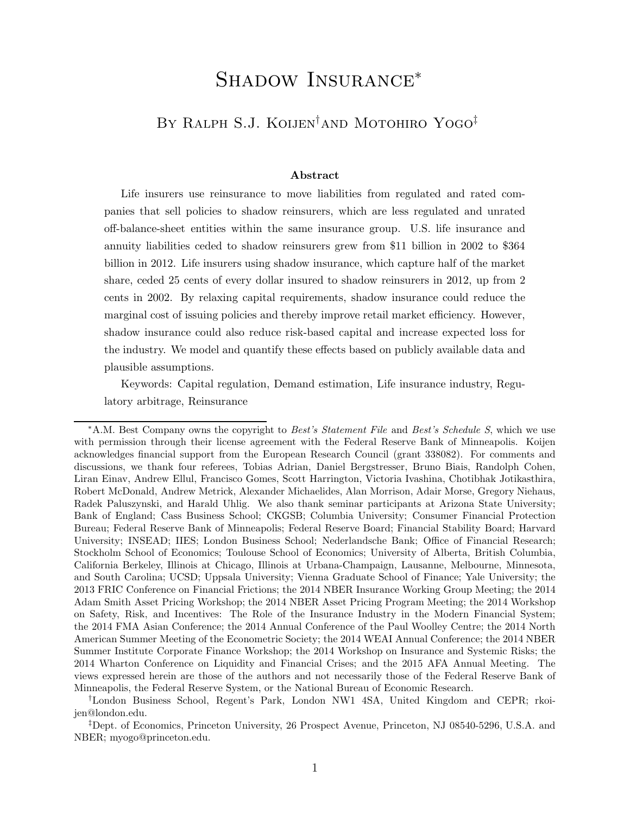# Shadow Insurance<sup>∗</sup>

# By Ralph S.J. Koijen†and Motohiro Yogo‡

#### **Abstract**

Life insurers use reinsurance to move liabilities from regulated and rated companies that sell policies to shadow reinsurers, which are less regulated and unrated off-balance-sheet entities within the same insurance group. U.S. life insurance and annuity liabilities ceded to shadow reinsurers grew from \$11 billion in 2002 to \$364 billion in 2012. Life insurers using shadow insurance, which capture half of the market share, ceded 25 cents of every dollar insured to shadow reinsurers in 2012, up from 2 cents in 2002. By relaxing capital requirements, shadow insurance could reduce the marginal cost of issuing policies and thereby improve retail market efficiency. However, shadow insurance could also reduce risk-based capital and increase expected loss for the industry. We model and quantify these effects based on publicly available data and plausible assumptions.

Keywords: Capital regulation, Demand estimation, Life insurance industry, Regulatory arbitrage, Reinsurance

<sup>∗</sup>A.M. Best Company owns the copyright to *Best's Statement File* and *Best's Schedule S*, which we use with permission through their license agreement with the Federal Reserve Bank of Minneapolis. Koijen acknowledges financial support from the European Research Council (grant 338082). For comments and discussions, we thank four referees, Tobias Adrian, Daniel Bergstresser, Bruno Biais, Randolph Cohen, Liran Einav, Andrew Ellul, Francisco Gomes, Scott Harrington, Victoria Ivashina, Chotibhak Jotikasthira, Robert McDonald, Andrew Metrick, Alexander Michaelides, Alan Morrison, Adair Morse, Gregory Niehaus, Radek Paluszynski, and Harald Uhlig. We also thank seminar participants at Arizona State University; Bank of England; Cass Business School; CKGSB; Columbia University; Consumer Financial Protection Bureau; Federal Reserve Bank of Minneapolis; Federal Reserve Board; Financial Stability Board; Harvard University; INSEAD; IIES; London Business School; Nederlandsche Bank; Office of Financial Research; Stockholm School of Economics; Toulouse School of Economics; University of Alberta, British Columbia, California Berkeley, Illinois at Chicago, Illinois at Urbana-Champaign, Lausanne, Melbourne, Minnesota, and South Carolina; UCSD; Uppsala University; Vienna Graduate School of Finance; Yale University; the 2013 FRIC Conference on Financial Frictions; the 2014 NBER Insurance Working Group Meeting; the 2014 Adam Smith Asset Pricing Workshop; the 2014 NBER Asset Pricing Program Meeting; the 2014 Workshop on Safety, Risk, and Incentives: The Role of the Insurance Industry in the Modern Financial System; the 2014 FMA Asian Conference; the 2014 Annual Conference of the Paul Woolley Centre; the 2014 North American Summer Meeting of the Econometric Society; the 2014 WEAI Annual Conference; the 2014 NBER Summer Institute Corporate Finance Workshop; the 2014 Workshop on Insurance and Systemic Risks; the 2014 Wharton Conference on Liquidity and Financial Crises; and the 2015 AFA Annual Meeting. The views expressed herein are those of the authors and not necessarily those of the Federal Reserve Bank of Minneapolis, the Federal Reserve System, or the National Bureau of Economic Research.

<sup>†</sup>London Business School, Regent's Park, London NW1 4SA, United Kingdom and CEPR; rkoijen@london.edu.

<sup>‡</sup>Dept. of Economics, Princeton University, 26 Prospect Avenue, Princeton, NJ 08540-5296, U.S.A. and NBER; myogo@princeton.edu.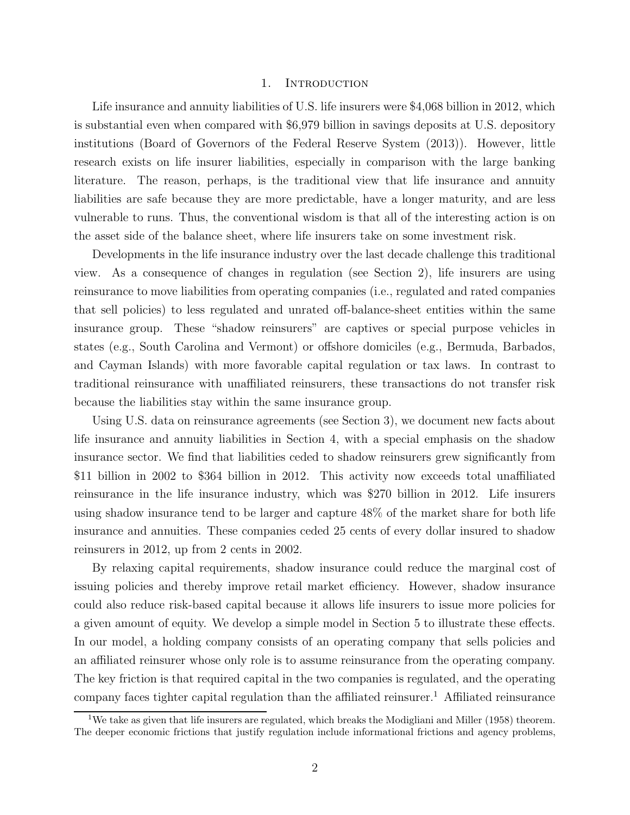#### 1. INTRODUCTION

Life insurance and annuity liabilities of U.S. life insurers were \$4,068 billion in 2012, which is substantial even when compared with \$6,979 billion in savings deposits at U.S. depository institutions (Board of Governors of the Federal Reserve System (2013)). However, little research exists on life insurer liabilities, especially in comparison with the large banking literature. The reason, perhaps, is the traditional view that life insurance and annuity liabilities are safe because they are more predictable, have a longer maturity, and are less vulnerable to runs. Thus, the conventional wisdom is that all of the interesting action is on the asset side of the balance sheet, where life insurers take on some investment risk.

Developments in the life insurance industry over the last decade challenge this traditional view. As a consequence of changes in regulation (see Section 2), life insurers are using reinsurance to move liabilities from operating companies (i.e., regulated and rated companies that sell policies) to less regulated and unrated off-balance-sheet entities within the same insurance group. These "shadow reinsurers" are captives or special purpose vehicles in states (e.g., South Carolina and Vermont) or offshore domiciles (e.g., Bermuda, Barbados, and Cayman Islands) with more favorable capital regulation or tax laws. In contrast to traditional reinsurance with unaffiliated reinsurers, these transactions do not transfer risk because the liabilities stay within the same insurance group.

Using U.S. data on reinsurance agreements (see Section 3), we document new facts about life insurance and annuity liabilities in Section 4, with a special emphasis on the shadow insurance sector. We find that liabilities ceded to shadow reinsurers grew significantly from \$11 billion in 2002 to \$364 billion in 2012. This activity now exceeds total unaffiliated reinsurance in the life insurance industry, which was \$270 billion in 2012. Life insurers using shadow insurance tend to be larger and capture 48% of the market share for both life insurance and annuities. These companies ceded 25 cents of every dollar insured to shadow reinsurers in 2012, up from 2 cents in 2002.

By relaxing capital requirements, shadow insurance could reduce the marginal cost of issuing policies and thereby improve retail market efficiency. However, shadow insurance could also reduce risk-based capital because it allows life insurers to issue more policies for a given amount of equity. We develop a simple model in Section 5 to illustrate these effects. In our model, a holding company consists of an operating company that sells policies and an affiliated reinsurer whose only role is to assume reinsurance from the operating company. The key friction is that required capital in the two companies is regulated, and the operating company faces tighter capital regulation than the affiliated reinsurer.<sup>1</sup> Affiliated reinsurance

<sup>&</sup>lt;sup>1</sup>We take as given that life insurers are regulated, which breaks the Modigliani and Miller (1958) theorem. The deeper economic frictions that justify regulation include informational frictions and agency problems,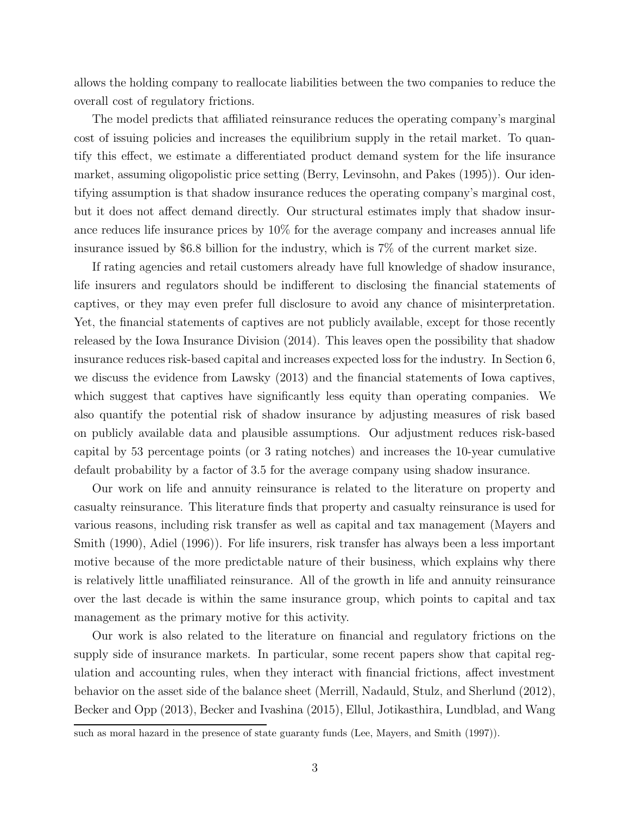allows the holding company to reallocate liabilities between the two companies to reduce the overall cost of regulatory frictions.

The model predicts that affiliated reinsurance reduces the operating company's marginal cost of issuing policies and increases the equilibrium supply in the retail market. To quantify this effect, we estimate a differentiated product demand system for the life insurance market, assuming oligopolistic price setting (Berry, Levinsohn, and Pakes (1995)). Our identifying assumption is that shadow insurance reduces the operating company's marginal cost, but it does not affect demand directly. Our structural estimates imply that shadow insurance reduces life insurance prices by 10% for the average company and increases annual life insurance issued by \$6.8 billion for the industry, which is 7% of the current market size.

If rating agencies and retail customers already have full knowledge of shadow insurance, life insurers and regulators should be indifferent to disclosing the financial statements of captives, or they may even prefer full disclosure to avoid any chance of misinterpretation. Yet, the financial statements of captives are not publicly available, except for those recently released by the Iowa Insurance Division (2014). This leaves open the possibility that shadow insurance reduces risk-based capital and increases expected loss for the industry. In Section 6, we discuss the evidence from Lawsky (2013) and the financial statements of Iowa captives, which suggest that captives have significantly less equity than operating companies. We also quantify the potential risk of shadow insurance by adjusting measures of risk based on publicly available data and plausible assumptions. Our adjustment reduces risk-based capital by 53 percentage points (or 3 rating notches) and increases the 10-year cumulative default probability by a factor of 3.5 for the average company using shadow insurance.

Our work on life and annuity reinsurance is related to the literature on property and casualty reinsurance. This literature finds that property and casualty reinsurance is used for various reasons, including risk transfer as well as capital and tax management (Mayers and Smith (1990), Adiel (1996)). For life insurers, risk transfer has always been a less important motive because of the more predictable nature of their business, which explains why there is relatively little unaffiliated reinsurance. All of the growth in life and annuity reinsurance over the last decade is within the same insurance group, which points to capital and tax management as the primary motive for this activity.

Our work is also related to the literature on financial and regulatory frictions on the supply side of insurance markets. In particular, some recent papers show that capital regulation and accounting rules, when they interact with financial frictions, affect investment behavior on the asset side of the balance sheet (Merrill, Nadauld, Stulz, and Sherlund (2012), Becker and Opp (2013), Becker and Ivashina (2015), Ellul, Jotikasthira, Lundblad, and Wang

such as moral hazard in the presence of state guaranty funds (Lee, Mayers, and Smith (1997)).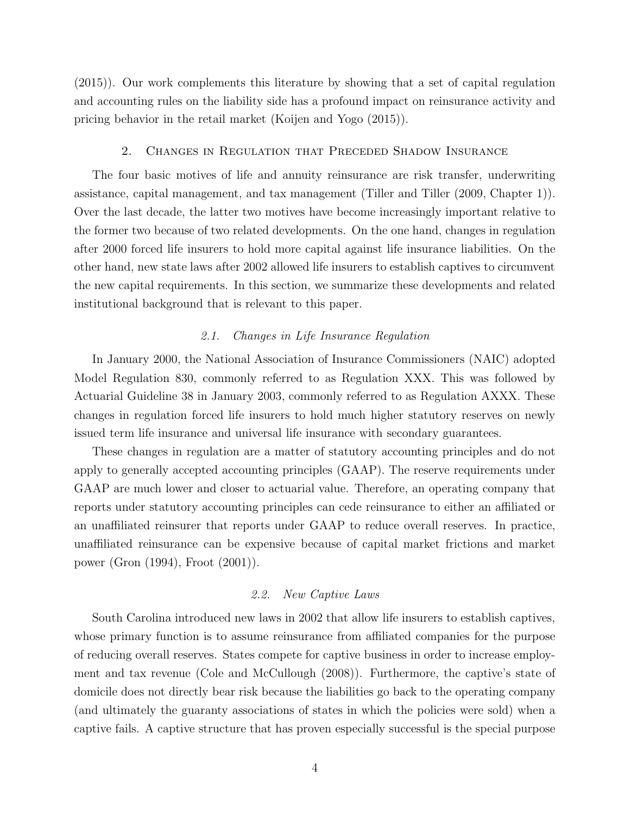(2015)). Our work complements this literature by showing that a set of capital regulation and accounting rules on the liability side has a profound impact on reinsurance activity and pricing behavior in the retail market (Koijen and Yogo (2015)).

#### 2. Changes in Regulation that Preceded Shadow Insurance

The four basic motives of life and annuity reinsurance are risk transfer, underwriting assistance, capital management, and tax management (Tiller and Tiller (2009, Chapter 1)). Over the last decade, the latter two motives have become increasingly important relative to the former two because of two related developments. On the one hand, changes in regulation after 2000 forced life insurers to hold more capital against life insurance liabilities. On the other hand, new state laws after 2002 allowed life insurers to establish captives to circumvent the new capital requirements. In this section, we summarize these developments and related institutional background that is relevant to this paper.

## 2.1. Changes in Life Insurance Regulation

In January 2000, the National Association of Insurance Commissioners (NAIC) adopted Model Regulation 830, commonly referred to as Regulation XXX. This was followed by Actuarial Guideline 38 in January 2003, commonly referred to as Regulation AXXX. These changes in regulation forced life insurers to hold much higher statutory reserves on newly issued term life insurance and universal life insurance with secondary guarantees.

These changes in regulation are a matter of statutory accounting principles and do not apply to generally accepted accounting principles (GAAP). The reserve requirements under GAAP are much lower and closer to actuarial value. Therefore, an operating company that reports under statutory accounting principles can cede reinsurance to either an affiliated or an unaffiliated reinsurer that reports under GAAP to reduce overall reserves. In practice, unaffiliated reinsurance can be expensive because of capital market frictions and market power (Gron (1994), Froot (2001)).

# 2.2. New Captive Laws

South Carolina introduced new laws in 2002 that allow life insurers to establish captives, whose primary function is to assume reinsurance from affiliated companies for the purpose of reducing overall reserves. States compete for captive business in order to increase employment and tax revenue (Cole and McCullough (2008)). Furthermore, the captive's state of domicile does not directly bear risk because the liabilities go back to the operating company (and ultimately the guaranty associations of states in which the policies were sold) when a captive fails. A captive structure that has proven especially successful is the special purpose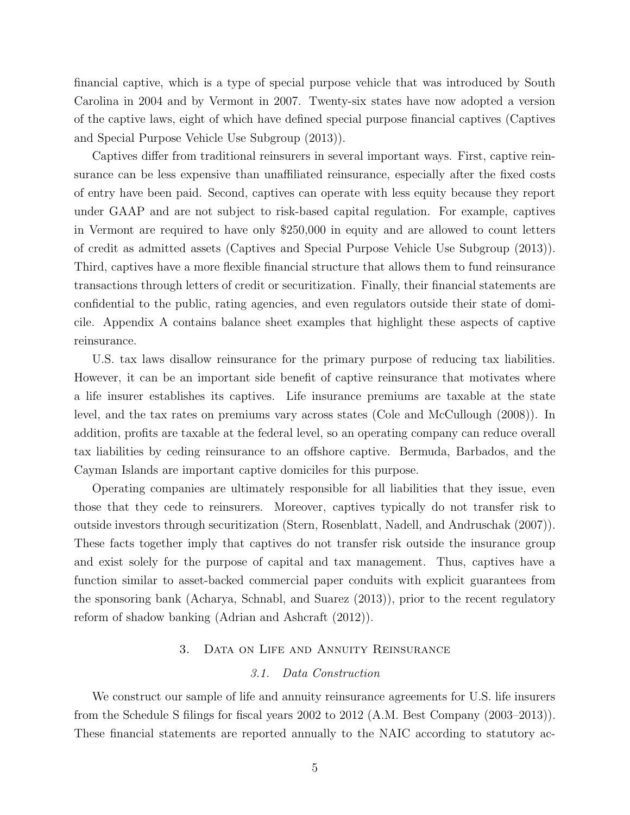financial captive, which is a type of special purpose vehicle that was introduced by South Carolina in 2004 and by Vermont in 2007. Twenty-six states have now adopted a version of the captive laws, eight of which have defined special purpose financial captives (Captives and Special Purpose Vehicle Use Subgroup (2013)).

Captives differ from traditional reinsurers in several important ways. First, captive reinsurance can be less expensive than unaffiliated reinsurance, especially after the fixed costs of entry have been paid. Second, captives can operate with less equity because they report under GAAP and are not subject to risk-based capital regulation. For example, captives in Vermont are required to have only \$250,000 in equity and are allowed to count letters of credit as admitted assets (Captives and Special Purpose Vehicle Use Subgroup (2013)). Third, captives have a more flexible financial structure that allows them to fund reinsurance transactions through letters of credit or securitization. Finally, their financial statements are confidential to the public, rating agencies, and even regulators outside their state of domicile. Appendix A contains balance sheet examples that highlight these aspects of captive reinsurance.

U.S. tax laws disallow reinsurance for the primary purpose of reducing tax liabilities. However, it can be an important side benefit of captive reinsurance that motivates where a life insurer establishes its captives. Life insurance premiums are taxable at the state level, and the tax rates on premiums vary across states (Cole and McCullough (2008)). In addition, profits are taxable at the federal level, so an operating company can reduce overall tax liabilities by ceding reinsurance to an offshore captive. Bermuda, Barbados, and the Cayman Islands are important captive domiciles for this purpose.

Operating companies are ultimately responsible for all liabilities that they issue, even those that they cede to reinsurers. Moreover, captives typically do not transfer risk to outside investors through securitization (Stern, Rosenblatt, Nadell, and Andruschak (2007)). These facts together imply that captives do not transfer risk outside the insurance group and exist solely for the purpose of capital and tax management. Thus, captives have a function similar to asset-backed commercial paper conduits with explicit guarantees from the sponsoring bank (Acharya, Schnabl, and Suarez (2013)), prior to the recent regulatory reform of shadow banking (Adrian and Ashcraft (2012)).

#### 3. Data on Life and Annuity Reinsurance

# 3.1. Data Construction

We construct our sample of life and annuity reinsurance agreements for U.S. life insurers from the Schedule S filings for fiscal years 2002 to 2012 (A.M. Best Company (2003–2013)). These financial statements are reported annually to the NAIC according to statutory ac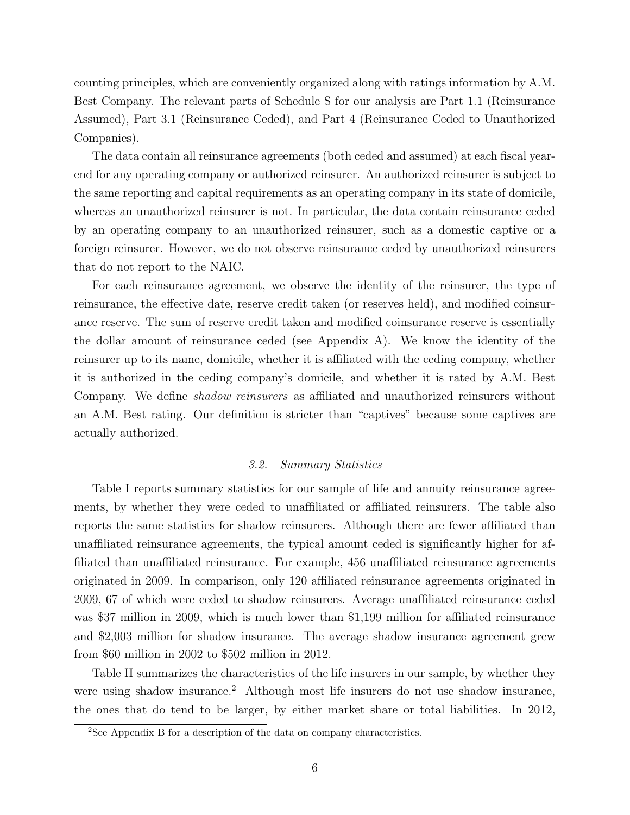counting principles, which are conveniently organized along with ratings information by A.M. Best Company. The relevant parts of Schedule S for our analysis are Part 1.1 (Reinsurance Assumed), Part 3.1 (Reinsurance Ceded), and Part 4 (Reinsurance Ceded to Unauthorized Companies).

The data contain all reinsurance agreements (both ceded and assumed) at each fiscal yearend for any operating company or authorized reinsurer. An authorized reinsurer is subject to the same reporting and capital requirements as an operating company in its state of domicile, whereas an unauthorized reinsurer is not. In particular, the data contain reinsurance ceded by an operating company to an unauthorized reinsurer, such as a domestic captive or a foreign reinsurer. However, we do not observe reinsurance ceded by unauthorized reinsurers that do not report to the NAIC.

For each reinsurance agreement, we observe the identity of the reinsurer, the type of reinsurance, the effective date, reserve credit taken (or reserves held), and modified coinsurance reserve. The sum of reserve credit taken and modified coinsurance reserve is essentially the dollar amount of reinsurance ceded (see Appendix A). We know the identity of the reinsurer up to its name, domicile, whether it is affiliated with the ceding company, whether it is authorized in the ceding company's domicile, and whether it is rated by A.M. Best Company. We define *shadow reinsurers* as affiliated and unauthorized reinsurers without an A.M. Best rating. Our definition is stricter than "captives" because some captives are actually authorized.

#### 3.2. Summary Statistics

Table I reports summary statistics for our sample of life and annuity reinsurance agreements, by whether they were ceded to unaffiliated or affiliated reinsurers. The table also reports the same statistics for shadow reinsurers. Although there are fewer affiliated than unaffiliated reinsurance agreements, the typical amount ceded is significantly higher for affiliated than unaffiliated reinsurance. For example, 456 unaffiliated reinsurance agreements originated in 2009. In comparison, only 120 affiliated reinsurance agreements originated in 2009, 67 of which were ceded to shadow reinsurers. Average unaffiliated reinsurance ceded was \$37 million in 2009, which is much lower than \$1,199 million for affiliated reinsurance and \$2,003 million for shadow insurance. The average shadow insurance agreement grew from \$60 million in 2002 to \$502 million in 2012.

Table II summarizes the characteristics of the life insurers in our sample, by whether they were using shadow insurance.<sup>2</sup> Although most life insurers do not use shadow insurance, the ones that do tend to be larger, by either market share or total liabilities. In 2012,

<sup>2</sup>See Appendix B for a description of the data on company characteristics.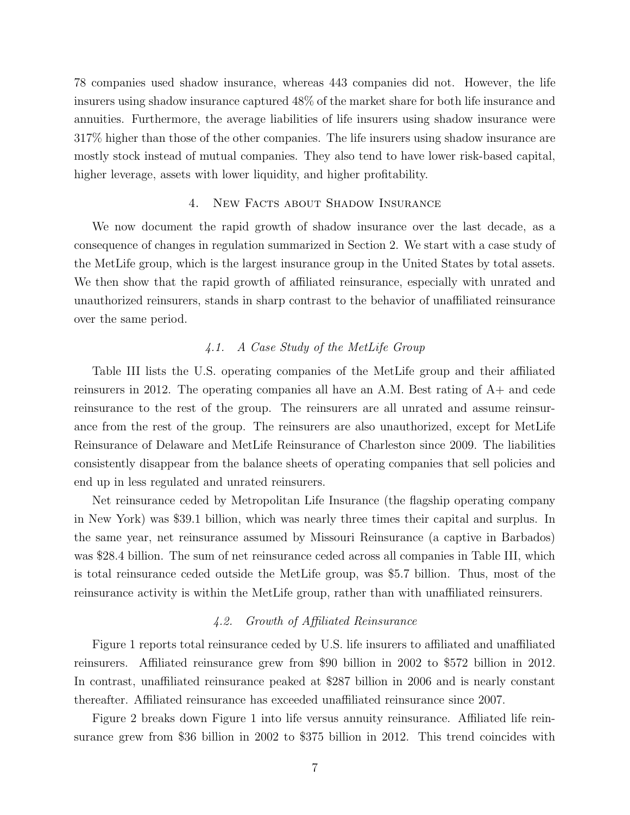78 companies used shadow insurance, whereas 443 companies did not. However, the life insurers using shadow insurance captured 48% of the market share for both life insurance and annuities. Furthermore, the average liabilities of life insurers using shadow insurance were 317% higher than those of the other companies. The life insurers using shadow insurance are mostly stock instead of mutual companies. They also tend to have lower risk-based capital, higher leverage, assets with lower liquidity, and higher profitability.

#### 4. New Facts about Shadow Insurance

We now document the rapid growth of shadow insurance over the last decade, as a consequence of changes in regulation summarized in Section 2. We start with a case study of the MetLife group, which is the largest insurance group in the United States by total assets. We then show that the rapid growth of affiliated reinsurance, especially with unrated and unauthorized reinsurers, stands in sharp contrast to the behavior of unaffiliated reinsurance over the same period.

# 4.1. A Case Study of the MetLife Group

Table III lists the U.S. operating companies of the MetLife group and their affiliated reinsurers in 2012. The operating companies all have an A.M. Best rating of A+ and cede reinsurance to the rest of the group. The reinsurers are all unrated and assume reinsurance from the rest of the group. The reinsurers are also unauthorized, except for MetLife Reinsurance of Delaware and MetLife Reinsurance of Charleston since 2009. The liabilities consistently disappear from the balance sheets of operating companies that sell policies and end up in less regulated and unrated reinsurers.

Net reinsurance ceded by Metropolitan Life Insurance (the flagship operating company in New York) was \$39.1 billion, which was nearly three times their capital and surplus. In the same year, net reinsurance assumed by Missouri Reinsurance (a captive in Barbados) was \$28.4 billion. The sum of net reinsurance ceded across all companies in Table III, which is total reinsurance ceded outside the MetLife group, was \$5.7 billion. Thus, most of the reinsurance activity is within the MetLife group, rather than with unaffiliated reinsurers.

### 4.2. Growth of Affiliated Reinsurance

Figure 1 reports total reinsurance ceded by U.S. life insurers to affiliated and unaffiliated reinsurers. Affiliated reinsurance grew from \$90 billion in 2002 to \$572 billion in 2012. In contrast, unaffiliated reinsurance peaked at \$287 billion in 2006 and is nearly constant thereafter. Affiliated reinsurance has exceeded unaffiliated reinsurance since 2007.

Figure 2 breaks down Figure 1 into life versus annuity reinsurance. Affiliated life reinsurance grew from \$36 billion in 2002 to \$375 billion in 2012. This trend coincides with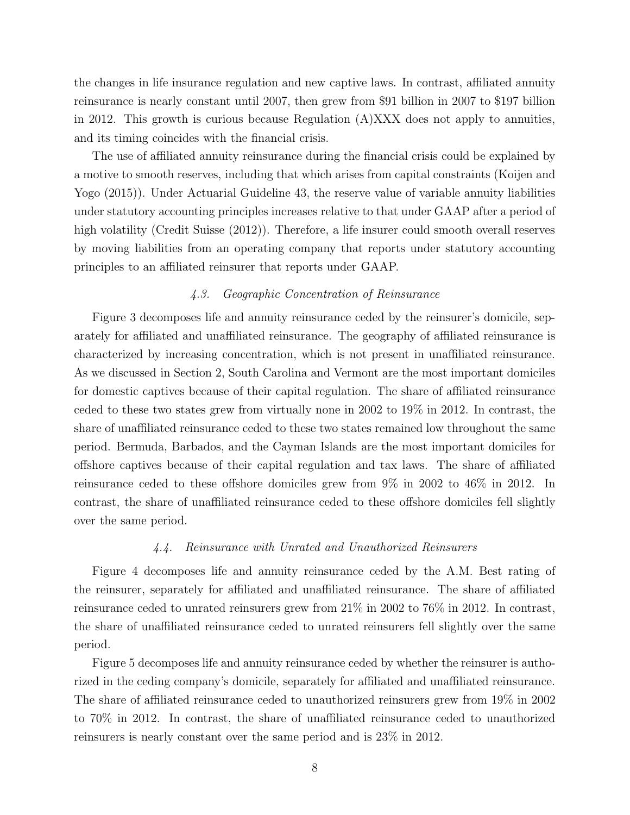the changes in life insurance regulation and new captive laws. In contrast, affiliated annuity reinsurance is nearly constant until 2007, then grew from \$91 billion in 2007 to \$197 billion in 2012. This growth is curious because Regulation (A)XXX does not apply to annuities, and its timing coincides with the financial crisis.

The use of affiliated annuity reinsurance during the financial crisis could be explained by a motive to smooth reserves, including that which arises from capital constraints (Koijen and Yogo (2015)). Under Actuarial Guideline 43, the reserve value of variable annuity liabilities under statutory accounting principles increases relative to that under GAAP after a period of high volatility (Credit Suisse (2012)). Therefore, a life insurer could smooth overall reserves by moving liabilities from an operating company that reports under statutory accounting principles to an affiliated reinsurer that reports under GAAP.

# 4.3. Geographic Concentration of Reinsurance

Figure 3 decomposes life and annuity reinsurance ceded by the reinsurer's domicile, separately for affiliated and unaffiliated reinsurance. The geography of affiliated reinsurance is characterized by increasing concentration, which is not present in unaffiliated reinsurance. As we discussed in Section 2, South Carolina and Vermont are the most important domiciles for domestic captives because of their capital regulation. The share of affiliated reinsurance ceded to these two states grew from virtually none in 2002 to 19% in 2012. In contrast, the share of unaffiliated reinsurance ceded to these two states remained low throughout the same period. Bermuda, Barbados, and the Cayman Islands are the most important domiciles for offshore captives because of their capital regulation and tax laws. The share of affiliated reinsurance ceded to these offshore domiciles grew from 9% in 2002 to 46% in 2012. In contrast, the share of unaffiliated reinsurance ceded to these offshore domiciles fell slightly over the same period.

#### 4.4. Reinsurance with Unrated and Unauthorized Reinsurers

Figure 4 decomposes life and annuity reinsurance ceded by the A.M. Best rating of the reinsurer, separately for affiliated and unaffiliated reinsurance. The share of affiliated reinsurance ceded to unrated reinsurers grew from 21% in 2002 to 76% in 2012. In contrast, the share of unaffiliated reinsurance ceded to unrated reinsurers fell slightly over the same period.

Figure 5 decomposes life and annuity reinsurance ceded by whether the reinsurer is authorized in the ceding company's domicile, separately for affiliated and unaffiliated reinsurance. The share of affiliated reinsurance ceded to unauthorized reinsurers grew from 19% in 2002 to 70% in 2012. In contrast, the share of unaffiliated reinsurance ceded to unauthorized reinsurers is nearly constant over the same period and is 23% in 2012.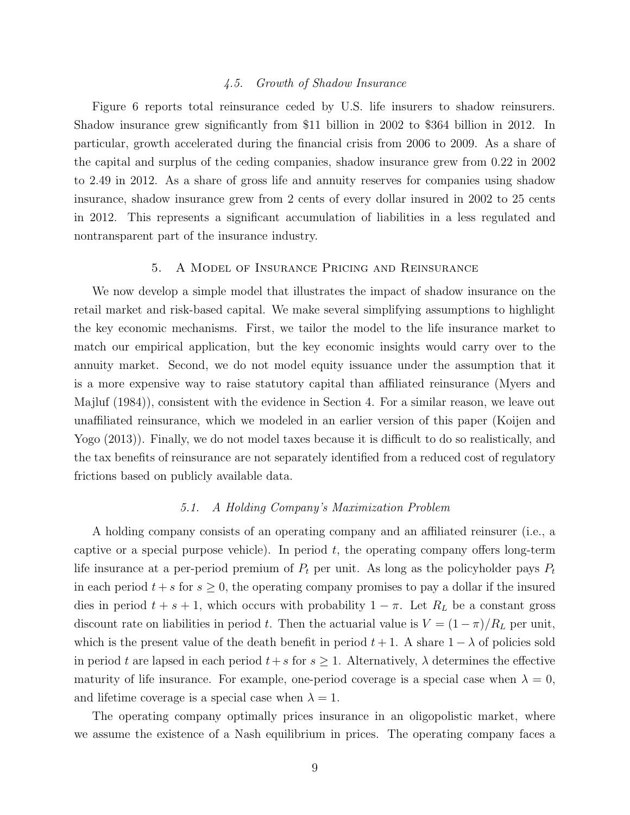#### 4.5. Growth of Shadow Insurance

Figure 6 reports total reinsurance ceded by U.S. life insurers to shadow reinsurers. Shadow insurance grew significantly from \$11 billion in 2002 to \$364 billion in 2012. In particular, growth accelerated during the financial crisis from 2006 to 2009. As a share of the capital and surplus of the ceding companies, shadow insurance grew from 0.22 in 2002 to 2.49 in 2012. As a share of gross life and annuity reserves for companies using shadow insurance, shadow insurance grew from 2 cents of every dollar insured in 2002 to 25 cents in 2012. This represents a significant accumulation of liabilities in a less regulated and nontransparent part of the insurance industry.

#### 5. A Model of Insurance Pricing and Reinsurance

We now develop a simple model that illustrates the impact of shadow insurance on the retail market and risk-based capital. We make several simplifying assumptions to highlight the key economic mechanisms. First, we tailor the model to the life insurance market to match our empirical application, but the key economic insights would carry over to the annuity market. Second, we do not model equity issuance under the assumption that it is a more expensive way to raise statutory capital than affiliated reinsurance (Myers and Majluf (1984)), consistent with the evidence in Section 4. For a similar reason, we leave out unaffiliated reinsurance, which we modeled in an earlier version of this paper (Koijen and Yogo (2013)). Finally, we do not model taxes because it is difficult to do so realistically, and the tax benefits of reinsurance are not separately identified from a reduced cost of regulatory frictions based on publicly available data.

#### 5.1. A Holding Company's Maximization Problem

A holding company consists of an operating company and an affiliated reinsurer (i.e., a captive or a special purpose vehicle). In period  $t$ , the operating company offers long-term life insurance at a per-period premium of  $P_t$  per unit. As long as the policyholder pays  $P_t$ in each period  $t + s$  for  $s \geq 0$ , the operating company promises to pay a dollar if the insured dies in period  $t + s + 1$ , which occurs with probability  $1 - \pi$ . Let  $R_L$  be a constant gross discount rate on liabilities in period t. Then the actuarial value is  $V = (1 - \pi)/R_L$  per unit, which is the present value of the death benefit in period  $t + 1$ . A share  $1 - \lambda$  of policies sold in period t are lapsed in each period  $t+s$  for  $s\geq 1$ . Alternatively,  $\lambda$  determines the effective maturity of life insurance. For example, one-period coverage is a special case when  $\lambda = 0$ , and lifetime coverage is a special case when  $\lambda = 1$ .

The operating company optimally prices insurance in an oligopolistic market, where we assume the existence of a Nash equilibrium in prices. The operating company faces a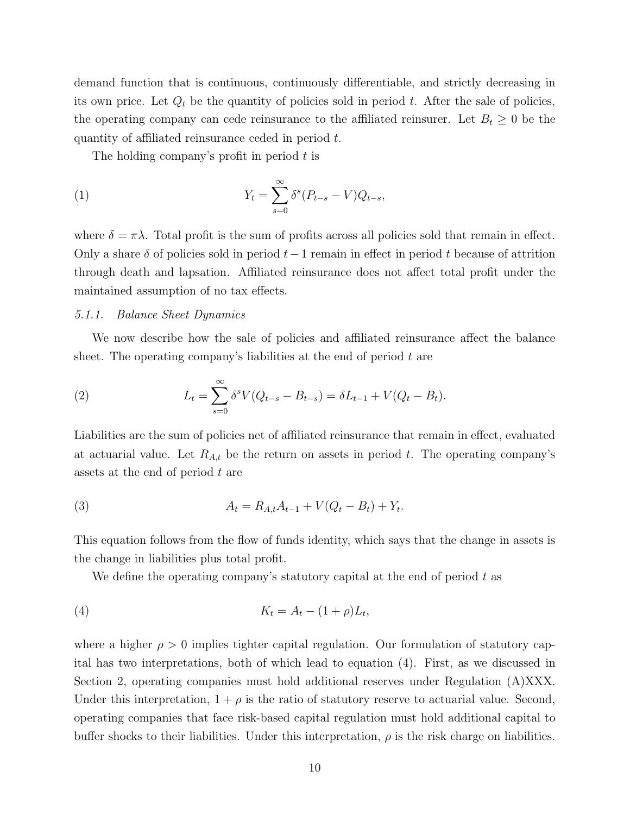demand function that is continuous, continuously differentiable, and strictly decreasing in its own price. Let  $Q_t$  be the quantity of policies sold in period  $t$ . After the sale of policies, the operating company can cede reinsurance to the affiliated reinsurer. Let  $B_t \geq 0$  be the quantity of affiliated reinsurance ceded in period t.

The holding company's profit in period t is

(1) 
$$
Y_t = \sum_{s=0}^{\infty} \delta^s (P_{t-s} - V) Q_{t-s},
$$

where  $\delta = \pi \lambda$ . Total profit is the sum of profits across all policies sold that remain in effect. Only a share  $\delta$  of policies sold in period  $t-1$  remain in effect in period t because of attrition through death and lapsation. Affiliated reinsurance does not affect total profit under the maintained assumption of no tax effects.

#### 5.1.1. Balance Sheet Dynamics

We now describe how the sale of policies and affiliated reinsurance affect the balance sheet. The operating company's liabilities at the end of period  $t$  are

(2) 
$$
L_t = \sum_{s=0}^{\infty} \delta^s V(Q_{t-s} - B_{t-s}) = \delta L_{t-1} + V(Q_t - B_t).
$$

Liabilities are the sum of policies net of affiliated reinsurance that remain in effect, evaluated at actuarial value. Let  $R_{A,t}$  be the return on assets in period t. The operating company's assets at the end of period t are

(3) 
$$
A_t = R_{A,t}A_{t-1} + V(Q_t - B_t) + Y_t.
$$

This equation follows from the flow of funds identity, which says that the change in assets is the change in liabilities plus total profit.

We define the operating company's statutory capital at the end of period  $t$  as

$$
(4) \t K_t = A_t - (1+\rho)L_t,
$$

where a higher  $\rho > 0$  implies tighter capital regulation. Our formulation of statutory capital has two interpretations, both of which lead to equation (4). First, as we discussed in Section 2, operating companies must hold additional reserves under Regulation (A)XXX. Under this interpretation,  $1 + \rho$  is the ratio of statutory reserve to actuarial value. Second, operating companies that face risk-based capital regulation must hold additional capital to buffer shocks to their liabilities. Under this interpretation,  $\rho$  is the risk charge on liabilities.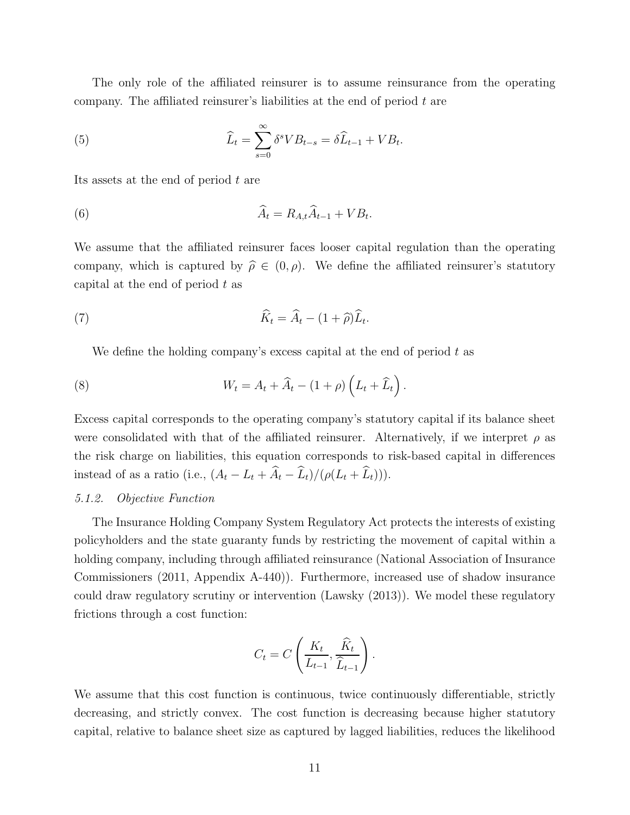The only role of the affiliated reinsurer is to assume reinsurance from the operating company. The affiliated reinsurer's liabilities at the end of period  $t$  are

(5) 
$$
\widehat{L}_t = \sum_{s=0}^{\infty} \delta^s V B_{t-s} = \delta \widehat{L}_{t-1} + V B_t.
$$

Its assets at the end of period  $t$  are

(6) 
$$
\widehat{A}_t = R_{A,t}\widehat{A}_{t-1} + VB_t.
$$

We assume that the affiliated reinsurer faces looser capital regulation than the operating company, which is captured by  $\hat{\rho} \in (0, \rho)$ . We define the affiliated reinsurer's statutory capital at the end of period  $t$  as

(7) 
$$
\widehat{K}_t = \widehat{A}_t - (1 + \widehat{\rho})\widehat{L}_t.
$$

We define the holding company's excess capital at the end of period  $t$  as

(8) 
$$
W_t = A_t + \widehat{A}_t - (1+\rho)\left(L_t + \widehat{L}_t\right).
$$

Excess capital corresponds to the operating company's statutory capital if its balance sheet were consolidated with that of the affiliated reinsurer. Alternatively, if we interpret  $\rho$  as the risk charge on liabilities, this equation corresponds to risk-based capital in differences instead of as a ratio (i.e.,  $(A_t - L_t + \hat{A}_t - \hat{L}_t)/(\rho(L_t + \hat{L}_t))).$ 

# 5.1.2. Objective Function

The Insurance Holding Company System Regulatory Act protects the interests of existing policyholders and the state guaranty funds by restricting the movement of capital within a holding company, including through affiliated reinsurance (National Association of Insurance Commissioners (2011, Appendix A-440)). Furthermore, increased use of shadow insurance could draw regulatory scrutiny or intervention (Lawsky (2013)). We model these regulatory frictions through a cost function:

$$
C_t = C\left(\frac{K_t}{L_{t-1}}, \frac{\widehat{K}_t}{\widehat{L}_{t-1}}\right).
$$

We assume that this cost function is continuous, twice continuously differentiable, strictly decreasing, and strictly convex. The cost function is decreasing because higher statutory capital, relative to balance sheet size as captured by lagged liabilities, reduces the likelihood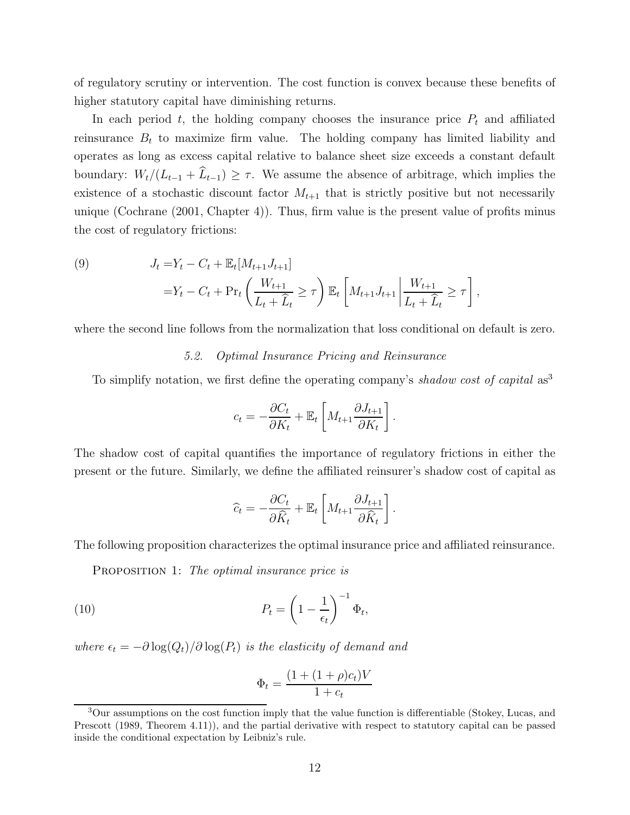of regulatory scrutiny or intervention. The cost function is convex because these benefits of higher statutory capital have diminishing returns.

In each period  $t$ , the holding company chooses the insurance price  $P_t$  and affiliated reinsurance  $B_t$  to maximize firm value. The holding company has limited liability and operates as long as excess capital relative to balance sheet size exceeds a constant default boundary:  $W_t/(L_{t-1} + \hat{L}_{t-1}) \geq \tau$ . We assume the absence of arbitrage, which implies the existence of a stochastic discount factor  $M_{t+1}$  that is strictly positive but not necessarily unique (Cochrane  $(2001, Chapter 4)$ ). Thus, firm value is the present value of profits minus the cost of regulatory frictions:

(9) 
$$
J_t = Y_t - C_t + \mathbb{E}_t[M_{t+1}J_{t+1}]
$$

$$
= Y_t - C_t + \Pr_t\left(\frac{W_{t+1}}{L_t + \hat{L}_t} \geq \tau\right) \mathbb{E}_t\left[M_{t+1}J_{t+1}\middle|\frac{W_{t+1}}{L_t + \hat{L}_t} \geq \tau\right],
$$

where the second line follows from the normalization that loss conditional on default is zero.

# 5.2. Optimal Insurance Pricing and Reinsurance

To simplify notation, we first define the operating company's shadow cost of capital as<sup>3</sup>

$$
c_t = -\frac{\partial C_t}{\partial K_t} + \mathbb{E}_t \left[ M_{t+1} \frac{\partial J_{t+1}}{\partial K_t} \right].
$$

The shadow cost of capital quantifies the importance of regulatory frictions in either the present or the future. Similarly, we define the affiliated reinsurer's shadow cost of capital as

$$
\widehat{c}_t = -\frac{\partial C_t}{\partial \widehat{K}_t} + \mathbb{E}_t \left[ M_{t+1} \frac{\partial J_{t+1}}{\partial \widehat{K}_t} \right].
$$

The following proposition characterizes the optimal insurance price and affiliated reinsurance.

PROPOSITION 1: The optimal insurance price is

(10) 
$$
P_t = \left(1 - \frac{1}{\epsilon_t}\right)^{-1} \Phi_t,
$$

where  $\epsilon_t = -\partial \log(Q_t)/\partial \log(P_t)$  is the elasticity of demand and

$$
\Phi_t = \frac{(1 + (1 + \rho)c_t)V}{1 + c_t}
$$

<sup>3</sup>Our assumptions on the cost function imply that the value function is differentiable (Stokey, Lucas, and Prescott (1989, Theorem 4.11)), and the partial derivative with respect to statutory capital can be passed inside the conditional expectation by Leibniz's rule.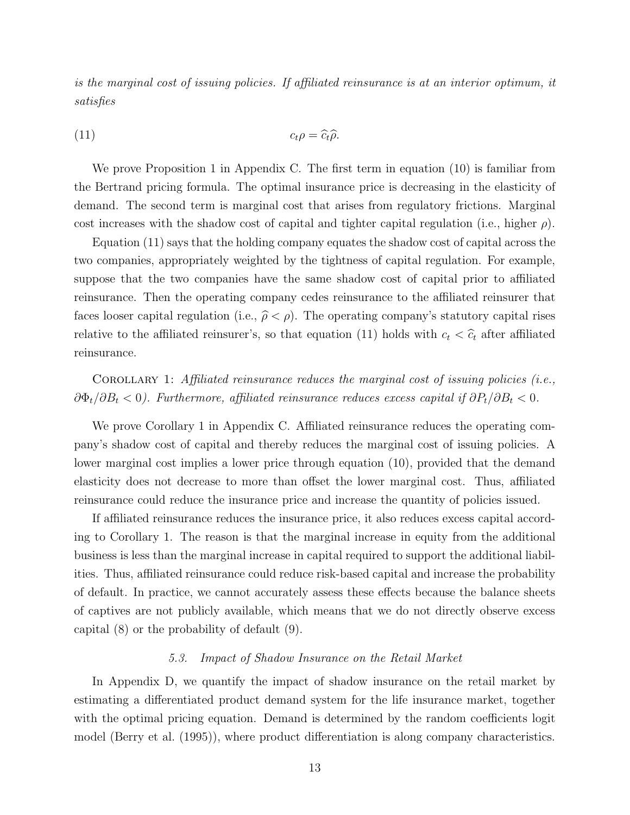is the marginal cost of issuing policies. If affiliated reinsurance is at an interior optimum, it satisfies

(11) 
$$
c_t \rho = \widehat{c_t} \widehat{\rho}.
$$

We prove Proposition 1 in Appendix C. The first term in equation (10) is familiar from the Bertrand pricing formula. The optimal insurance price is decreasing in the elasticity of demand. The second term is marginal cost that arises from regulatory frictions. Marginal cost increases with the shadow cost of capital and tighter capital regulation (i.e., higher  $\rho$ ).

Equation (11) says that the holding company equates the shadow cost of capital across the two companies, appropriately weighted by the tightness of capital regulation. For example, suppose that the two companies have the same shadow cost of capital prior to affiliated reinsurance. Then the operating company cedes reinsurance to the affiliated reinsurer that faces looser capital regulation (i.e.,  $\hat{\rho} < \rho$ ). The operating company's statutory capital rises relative to the affiliated reinsurer's, so that equation (11) holds with  $c_t < \hat{c}_t$  after affiliated reinsurance.

COROLLARY 1: Affiliated reinsurance reduces the marginal cost of issuing policies (i.e., ∂Φ*t*/∂B*<sup>t</sup>* < 0). Furthermore, affiliated reinsurance reduces excess capital if ∂P*t*/∂B*<sup>t</sup>* < 0.

We prove Corollary 1 in Appendix C. Affiliated reinsurance reduces the operating company's shadow cost of capital and thereby reduces the marginal cost of issuing policies. A lower marginal cost implies a lower price through equation (10), provided that the demand elasticity does not decrease to more than offset the lower marginal cost. Thus, affiliated reinsurance could reduce the insurance price and increase the quantity of policies issued.

If affiliated reinsurance reduces the insurance price, it also reduces excess capital according to Corollary 1. The reason is that the marginal increase in equity from the additional business is less than the marginal increase in capital required to support the additional liabilities. Thus, affiliated reinsurance could reduce risk-based capital and increase the probability of default. In practice, we cannot accurately assess these effects because the balance sheets of captives are not publicly available, which means that we do not directly observe excess capital (8) or the probability of default (9).

# 5.3. Impact of Shadow Insurance on the Retail Market

In Appendix D, we quantify the impact of shadow insurance on the retail market by estimating a differentiated product demand system for the life insurance market, together with the optimal pricing equation. Demand is determined by the random coefficients logit model (Berry et al. (1995)), where product differentiation is along company characteristics.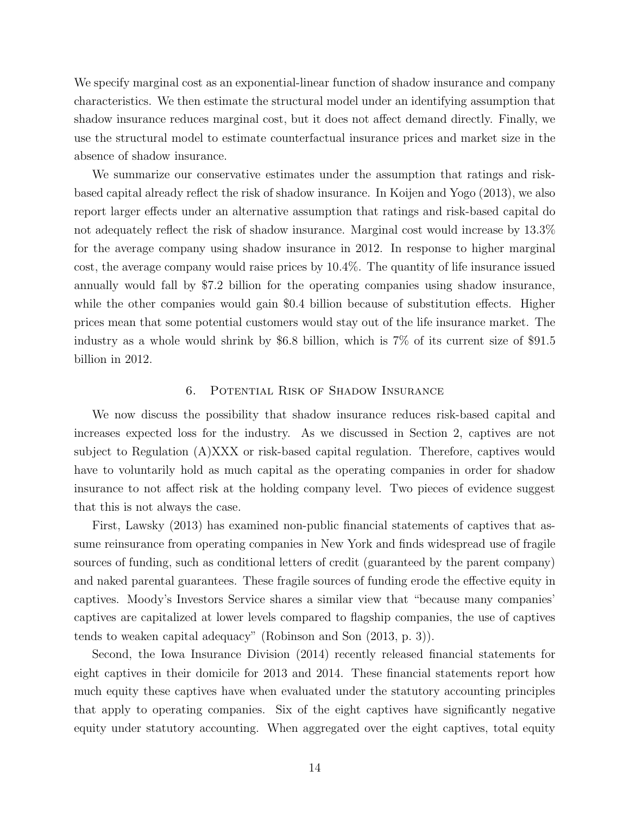We specify marginal cost as an exponential-linear function of shadow insurance and company characteristics. We then estimate the structural model under an identifying assumption that shadow insurance reduces marginal cost, but it does not affect demand directly. Finally, we use the structural model to estimate counterfactual insurance prices and market size in the absence of shadow insurance.

We summarize our conservative estimates under the assumption that ratings and riskbased capital already reflect the risk of shadow insurance. In Koijen and Yogo (2013), we also report larger effects under an alternative assumption that ratings and risk-based capital do not adequately reflect the risk of shadow insurance. Marginal cost would increase by 13.3% for the average company using shadow insurance in 2012. In response to higher marginal cost, the average company would raise prices by 10.4%. The quantity of life insurance issued annually would fall by \$7.2 billion for the operating companies using shadow insurance, while the other companies would gain \$0.4 billion because of substitution effects. Higher prices mean that some potential customers would stay out of the life insurance market. The industry as a whole would shrink by \$6.8 billion, which is 7% of its current size of \$91.5 billion in 2012.

#### 6. Potential Risk of Shadow Insurance

We now discuss the possibility that shadow insurance reduces risk-based capital and increases expected loss for the industry. As we discussed in Section 2, captives are not subject to Regulation (A)XXX or risk-based capital regulation. Therefore, captives would have to voluntarily hold as much capital as the operating companies in order for shadow insurance to not affect risk at the holding company level. Two pieces of evidence suggest that this is not always the case.

First, Lawsky (2013) has examined non-public financial statements of captives that assume reinsurance from operating companies in New York and finds widespread use of fragile sources of funding, such as conditional letters of credit (guaranteed by the parent company) and naked parental guarantees. These fragile sources of funding erode the effective equity in captives. Moody's Investors Service shares a similar view that "because many companies' captives are capitalized at lower levels compared to flagship companies, the use of captives tends to weaken capital adequacy" (Robinson and Son (2013, p. 3)).

Second, the Iowa Insurance Division (2014) recently released financial statements for eight captives in their domicile for 2013 and 2014. These financial statements report how much equity these captives have when evaluated under the statutory accounting principles that apply to operating companies. Six of the eight captives have significantly negative equity under statutory accounting. When aggregated over the eight captives, total equity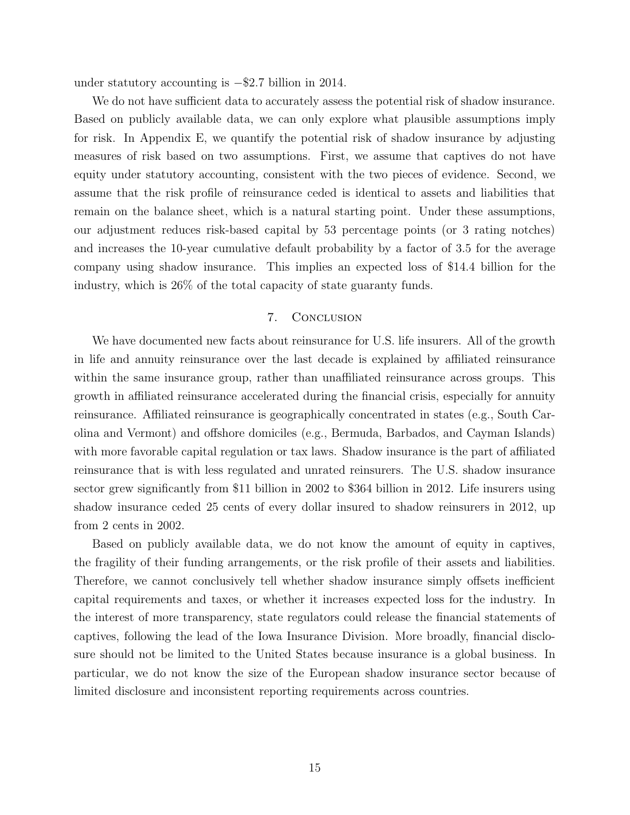under statutory accounting is −\$2.7 billion in 2014.

We do not have sufficient data to accurately assess the potential risk of shadow insurance. Based on publicly available data, we can only explore what plausible assumptions imply for risk. In Appendix E, we quantify the potential risk of shadow insurance by adjusting measures of risk based on two assumptions. First, we assume that captives do not have equity under statutory accounting, consistent with the two pieces of evidence. Second, we assume that the risk profile of reinsurance ceded is identical to assets and liabilities that remain on the balance sheet, which is a natural starting point. Under these assumptions, our adjustment reduces risk-based capital by 53 percentage points (or 3 rating notches) and increases the 10-year cumulative default probability by a factor of 3.5 for the average company using shadow insurance. This implies an expected loss of \$14.4 billion for the industry, which is 26% of the total capacity of state guaranty funds.

#### 7. Conclusion

We have documented new facts about reinsurance for U.S. life insurers. All of the growth in life and annuity reinsurance over the last decade is explained by affiliated reinsurance within the same insurance group, rather than unaffiliated reinsurance across groups. This growth in affiliated reinsurance accelerated during the financial crisis, especially for annuity reinsurance. Affiliated reinsurance is geographically concentrated in states (e.g., South Carolina and Vermont) and offshore domiciles (e.g., Bermuda, Barbados, and Cayman Islands) with more favorable capital regulation or tax laws. Shadow insurance is the part of affiliated reinsurance that is with less regulated and unrated reinsurers. The U.S. shadow insurance sector grew significantly from \$11 billion in 2002 to \$364 billion in 2012. Life insurers using shadow insurance ceded 25 cents of every dollar insured to shadow reinsurers in 2012, up from 2 cents in 2002.

Based on publicly available data, we do not know the amount of equity in captives, the fragility of their funding arrangements, or the risk profile of their assets and liabilities. Therefore, we cannot conclusively tell whether shadow insurance simply offsets inefficient capital requirements and taxes, or whether it increases expected loss for the industry. In the interest of more transparency, state regulators could release the financial statements of captives, following the lead of the Iowa Insurance Division. More broadly, financial disclosure should not be limited to the United States because insurance is a global business. In particular, we do not know the size of the European shadow insurance sector because of limited disclosure and inconsistent reporting requirements across countries.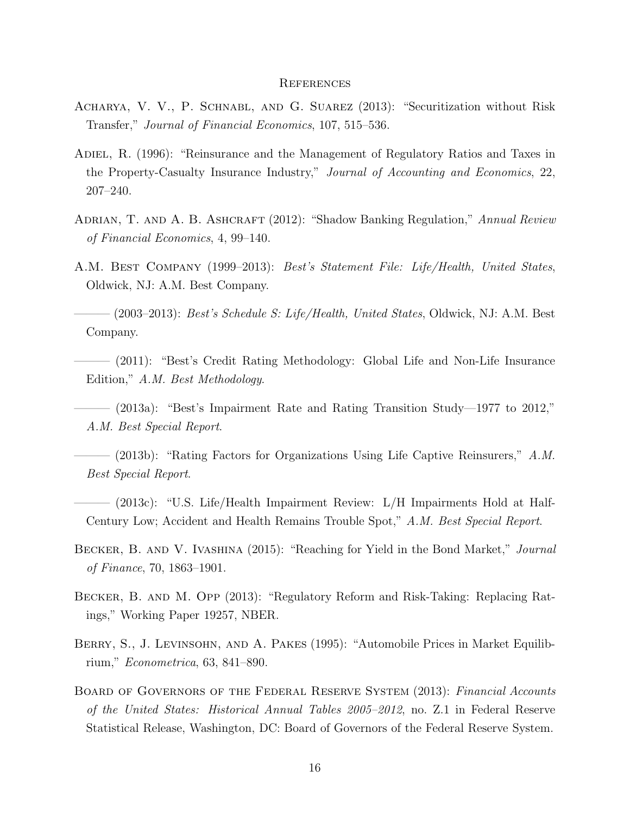#### **REFERENCES**

- Acharya, V. V., P. Schnabl, and G. Suarez (2013): "Securitization without Risk Transfer," Journal of Financial Economics, 107, 515–536.
- Adiel, R. (1996): "Reinsurance and the Management of Regulatory Ratios and Taxes in the Property-Casualty Insurance Industry," Journal of Accounting and Economics, 22, 207–240.
- ADRIAN, T. AND A. B. ASHCRAFT (2012): "Shadow Banking Regulation," Annual Review of Financial Economics, 4, 99–140.
- A.M. Best Company (1999–2013): Best's Statement File: Life/Health, United States, Oldwick, NJ: A.M. Best Company.

 $-$  (2003–2013): *Best's Schedule S: Life/Health, United States, Oldwick, NJ: A.M. Best* Company.

- ——— (2011): "Best's Credit Rating Methodology: Global Life and Non-Life Insurance Edition," A.M. Best Methodology.
- $-$  (2013a): "Best's Impairment Rate and Rating Transition Study—1977 to 2012," A.M. Best Special Report.

 $-$  (2013b): "Rating Factors for Organizations Using Life Captive Reinsurers," A.M. Best Special Report.

- ——— (2013c): "U.S. Life/Health Impairment Review: L/H Impairments Hold at Half-Century Low; Accident and Health Remains Trouble Spot," A.M. Best Special Report.
- Becker, B. and V. Ivashina (2015): "Reaching for Yield in the Bond Market," Journal of Finance, 70, 1863–1901.
- Becker, B. and M. Opp (2013): "Regulatory Reform and Risk-Taking: Replacing Ratings," Working Paper 19257, NBER.
- BERRY, S., J. LEVINSOHN, AND A. PAKES (1995): "Automobile Prices in Market Equilibrium," Econometrica, 63, 841–890.
- BOARD OF GOVERNORS OF THE FEDERAL RESERVE SYSTEM (2013): Financial Accounts of the United States: Historical Annual Tables 2005–2012, no. Z.1 in Federal Reserve Statistical Release, Washington, DC: Board of Governors of the Federal Reserve System.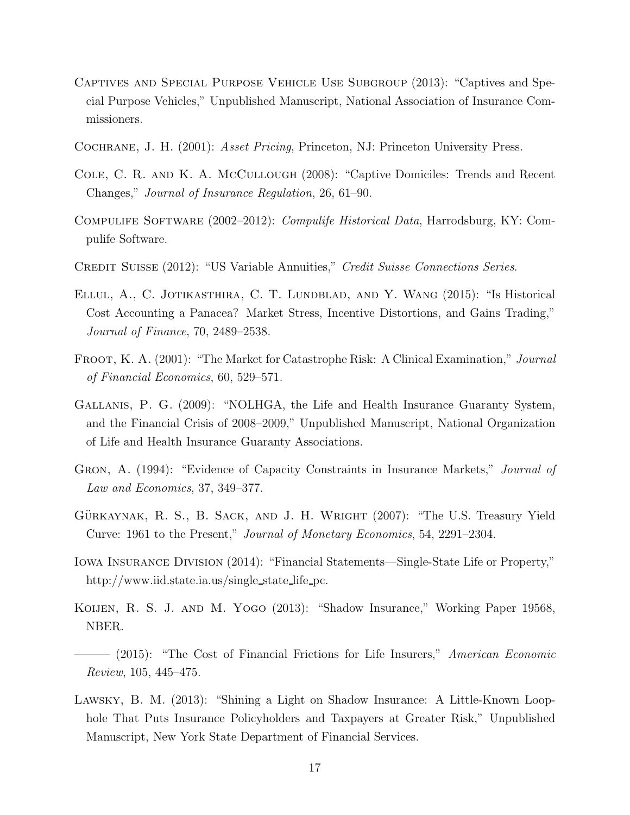- Captives and Special Purpose Vehicle Use Subgroup (2013): "Captives and Special Purpose Vehicles," Unpublished Manuscript, National Association of Insurance Commissioners.
- COCHRANE, J. H. (2001): *Asset Pricing*, Princeton, NJ: Princeton University Press.
- Cole, C. R. and K. A. McCullough (2008): "Captive Domiciles: Trends and Recent Changes," Journal of Insurance Regulation, 26, 61–90.
- COMPULIFE SOFTWARE (2002–2012): *Compulife Historical Data*, Harrodsburg, KY: Compulife Software.
- Credit Suisse (2012): "US Variable Annuities," Credit Suisse Connections Series.
- Ellul, A., C. Jotikasthira, C. T. Lundblad, and Y. Wang (2015): "Is Historical Cost Accounting a Panacea? Market Stress, Incentive Distortions, and Gains Trading," Journal of Finance, 70, 2489–2538.
- FROOT, K. A. (2001): "The Market for Catastrophe Risk: A Clinical Examination," Journal of Financial Economics, 60, 529–571.
- Gallanis, P. G. (2009): "NOLHGA, the Life and Health Insurance Guaranty System, and the Financial Crisis of 2008–2009," Unpublished Manuscript, National Organization of Life and Health Insurance Guaranty Associations.
- Gron, A. (1994): "Evidence of Capacity Constraints in Insurance Markets," Journal of Law and Economics, 37, 349–377.
- GÜRKAYNAK, R. S., B. SACK, AND J. H. WRIGHT  $(2007)$ : "The U.S. Treasury Yield Curve: 1961 to the Present," Journal of Monetary Economics, 54, 2291–2304.
- Iowa Insurance Division (2014): "Financial Statements—Single-State Life or Property," http://www.iid.state.ia.us/single state life pc.
- KOIJEN, R. S. J. AND M. YOGO (2013): "Shadow Insurance," Working Paper 19568, NBER.
- $-$  (2015): "The Cost of Financial Frictions for Life Insurers," American Economic Review, 105, 445–475.
- Lawsky, B. M. (2013): "Shining a Light on Shadow Insurance: A Little-Known Loophole That Puts Insurance Policyholders and Taxpayers at Greater Risk," Unpublished Manuscript, New York State Department of Financial Services.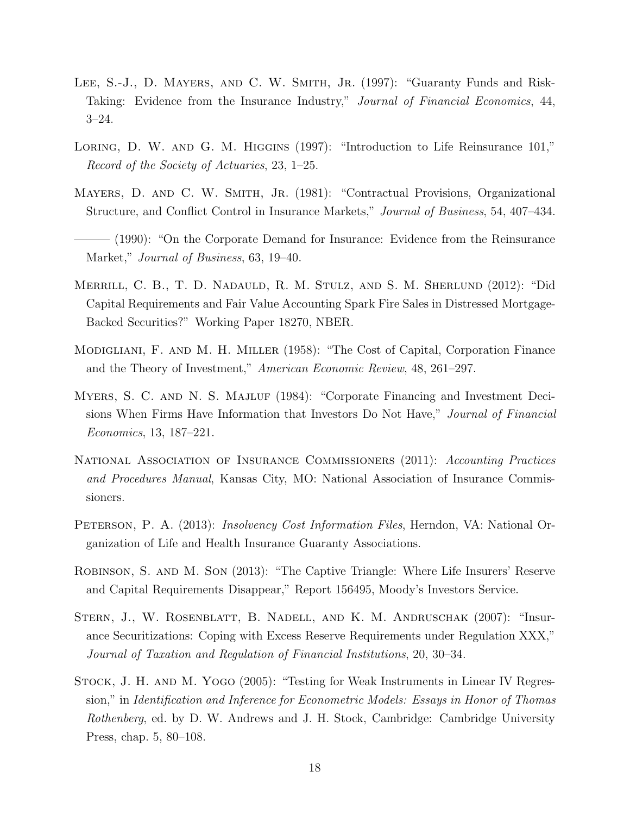- LEE, S.-J., D. MAYERS, AND C. W. SMITH, JR. (1997): "Guaranty Funds and Risk-Taking: Evidence from the Insurance Industry," Journal of Financial Economics, 44, 3–24.
- LORING, D. W. AND G. M. HIGGINS (1997): "Introduction to Life Reinsurance 101," Record of the Society of Actuaries, 23, 1–25.
- MAYERS, D. AND C. W. SMITH, JR. (1981): "Contractual Provisions, Organizational Structure, and Conflict Control in Insurance Markets," Journal of Business, 54, 407–434.
- (1990): "On the Corporate Demand for Insurance: Evidence from the Reinsurance Market," *Journal of Business*, 63, 19–40.
- Merrill, C. B., T. D. Nadauld, R. M. Stulz, and S. M. Sherlund (2012): "Did Capital Requirements and Fair Value Accounting Spark Fire Sales in Distressed Mortgage-Backed Securities?" Working Paper 18270, NBER.
- Modigliani, F. and M. H. Miller (1958): "The Cost of Capital, Corporation Finance and the Theory of Investment," American Economic Review, 48, 261–297.
- MYERS, S. C. AND N. S. MAJLUF (1984): "Corporate Financing and Investment Decisions When Firms Have Information that Investors Do Not Have," Journal of Financial Economics, 13, 187–221.
- NATIONAL ASSOCIATION OF INSURANCE COMMISSIONERS (2011): Accounting Practices and Procedures Manual, Kansas City, MO: National Association of Insurance Commissioners.
- PETERSON, P. A. (2013): *Insolvency Cost Information Files*, Herndon, VA: National Organization of Life and Health Insurance Guaranty Associations.
- Robinson, S. and M. Son (2013): "The Captive Triangle: Where Life Insurers' Reserve and Capital Requirements Disappear," Report 156495, Moody's Investors Service.
- STERN, J., W. ROSENBLATT, B. NADELL, AND K. M. ANDRUSCHAK (2007): "Insurance Securitizations: Coping with Excess Reserve Requirements under Regulation XXX," Journal of Taxation and Regulation of Financial Institutions, 20, 30–34.
- Stock, J. H. and M. Yogo (2005): "Testing for Weak Instruments in Linear IV Regression," in Identification and Inference for Econometric Models: Essays in Honor of Thomas Rothenberg, ed. by D. W. Andrews and J. H. Stock, Cambridge: Cambridge University Press, chap. 5, 80–108.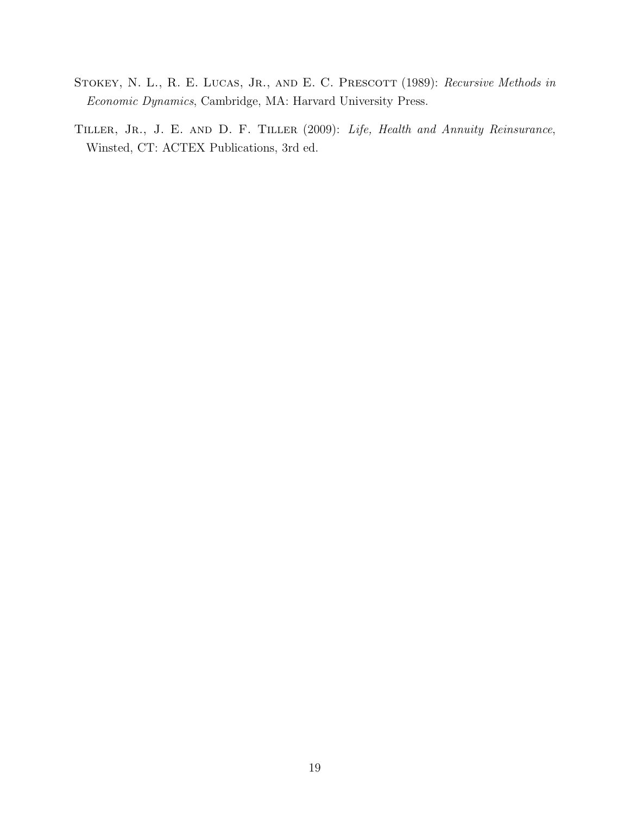- STOKEY, N. L., R. E. LUCAS, JR., AND E. C. PRESCOTT (1989): Recursive Methods in Economic Dynamics, Cambridge, MA: Harvard University Press.
- TILLER, JR., J. E. AND D. F. TILLER (2009): Life, Health and Annuity Reinsurance, Winsted, CT: ACTEX Publications, 3rd ed.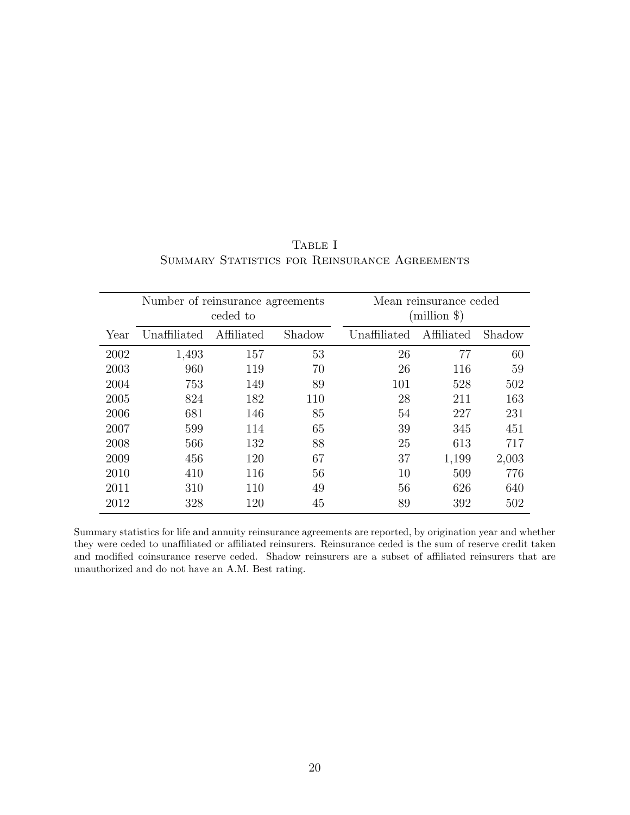| Number of reinsurance agreements<br>ceded to |              |            |        | Mean reinsurance ceded<br>$(million \$ |            |        |
|----------------------------------------------|--------------|------------|--------|----------------------------------------|------------|--------|
| Year                                         | Unaffiliated | Affiliated | Shadow | Unaffiliated                           | Affiliated | Shadow |
| 2002                                         | 1,493        | 157        | 53     | 26                                     | 77         | 60     |
| 2003                                         | 960          | 119        | 70     | 26                                     | 116        | 59     |
| 2004                                         | 753          | 149        | 89     | 101                                    | 528        | 502    |
| 2005                                         | 824          | 182        | 110    | 28                                     | 211        | 163    |
| 2006                                         | 681          | 146        | 85     | 54                                     | 227        | 231    |
| 2007                                         | 599          | 114        | 65     | 39                                     | 345        | 451    |
| 2008                                         | 566          | 132        | 88     | 25                                     | 613        | 717    |
| 2009                                         | 456          | 120        | 67     | 37                                     | 1,199      | 2,003  |
| 2010                                         | 410          | 116        | 56     | 10                                     | 509        | 776    |
| 2011                                         | 310          | 110        | 49     | 56                                     | 626        | 640    |
| 2012                                         | 328          | 120        | 45     | 89                                     | 392        | 502    |

# TABLE I SUMMARY STATISTICS FOR REINSURANCE AGREEMENTS

Summary statistics for life and annuity reinsurance agreements are reported, by origination year and whether they were ceded to unaffiliated or affiliated reinsurers. Reinsurance ceded is the sum of reserve credit taken and modified coinsurance reserve ceded. Shadow reinsurers are a subset of affiliated reinsurers that are unauthorized and do not have an A.M. Best rating.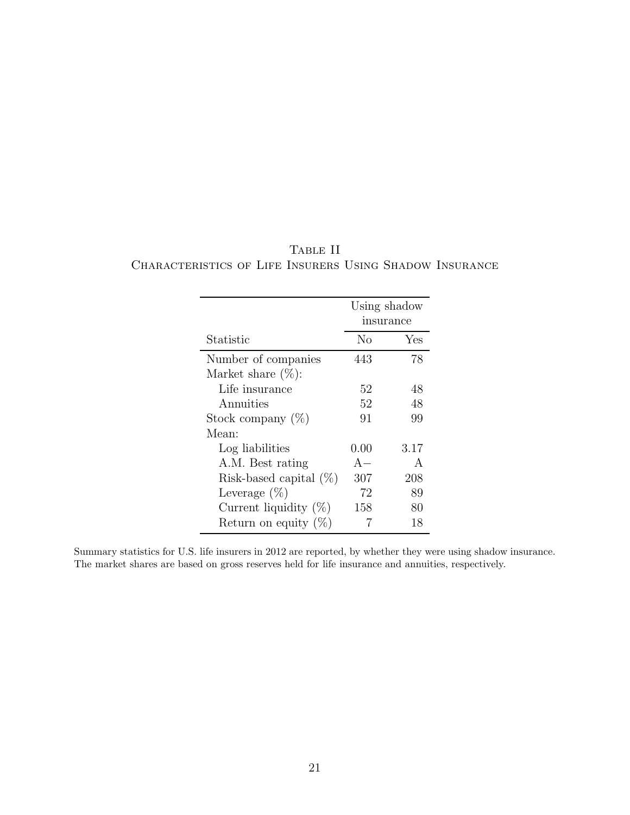|                           | Using shadow<br>insurance |              |
|---------------------------|---------------------------|--------------|
| Statistic                 | No                        | Yes          |
| Number of companies       | 443                       | 78           |
| Market share $(\%)$ :     |                           |              |
| Life insurance            | 52                        | 48           |
| Annuities                 | 52                        | 48           |
| Stock company $(\%)$      | 91                        | 99           |
| Mean:                     |                           |              |
| Log liabilities           | $0.00\,$                  | 3.17         |
| A.M. Best rating          | $A -$                     | $\mathsf{A}$ |
| Risk-based capital $(\%)$ | 307                       | 208          |
| Leverage $(\%)$           | 72                        | 89           |
| Current liquidity $(\%)$  | 158                       | 80           |
| Return on equity $(\%)$   |                           | 18           |

TABLE II Characteristics of Life Insurers Using Shadow Insurance

Summary statistics for U.S. life insurers in 2012 are reported, by whether they were using shadow insurance. The market shares are based on gross reserves held for life insurance and annuities, respectively.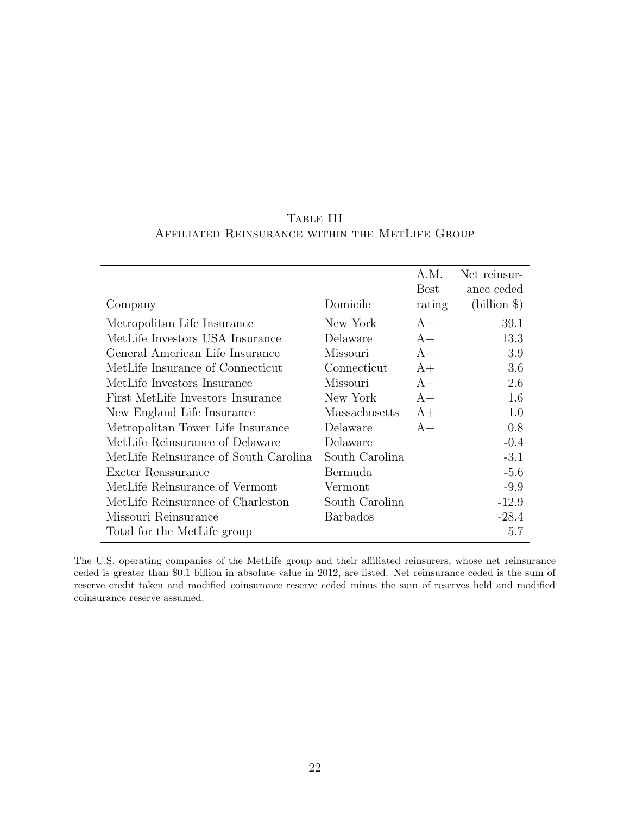|                                       |                 | А.М.   | Net reinsur- |
|---------------------------------------|-----------------|--------|--------------|
|                                       |                 | Best   | ance ceded   |
| Company                               | Domicile        | rating | $(blion \$   |
| Metropolitan Life Insurance           | New York        | $A+$   | 39.1         |
| MetLife Investors USA Insurance       | Delaware        | $A+$   | 13.3         |
| General American Life Insurance       | Missouri        | $A+$   | 3.9          |
| MetLife Insurance of Connecticut      | Connecticut     | $A+$   | 3.6          |
| MetLife Investors Insurance           | Missouri        | $A+$   | 2.6          |
| First MetLife Investors Insurance     | New York        | $A+$   | 1.6          |
| New England Life Insurance            | Massachusetts   | $A+$   | 1.0          |
| Metropolitan Tower Life Insurance     | Delaware        | $A+$   | 0.8          |
| MetLife Reinsurance of Delaware       | Delaware        |        | $-0.4$       |
| MetLife Reinsurance of South Carolina | South Carolina  |        | $-3.1$       |
| Exeter Reassurance                    | Bermuda         |        | $-5.6$       |
| MetLife Reinsurance of Vermont        | Vermont         |        | $-9.9$       |
| MetLife Reinsurance of Charleston     | South Carolina  |        | $-12.9$      |
| Missouri Reinsurance                  | <b>Barbados</b> |        | $-28.4$      |
| Total for the MetLife group           |                 |        | 5.7          |

# Table III Affiliated Reinsurance within the MetLife Group

The U.S. operating companies of the MetLife group and their affiliated reinsurers, whose net reinsurance ceded is greater than \$0.1 billion in absolute value in 2012, are listed. Net reinsurance ceded is the sum of reserve credit taken and modified coinsurance reserve ceded minus the sum of reserves held and modified coinsurance reserve assumed.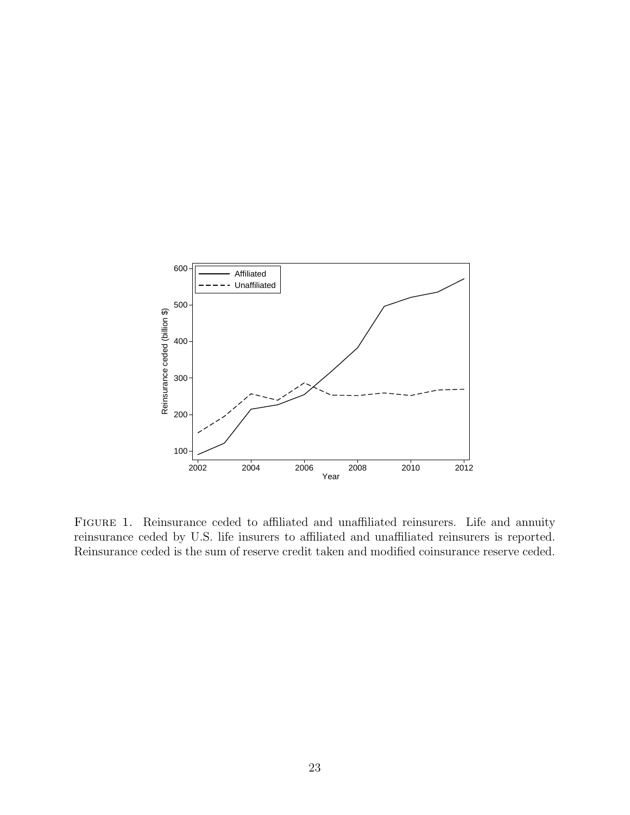

FIGURE 1. Reinsurance ceded to affiliated and unaffiliated reinsurers. Life and annuity reinsurance ceded by U.S. life insurers to affiliated and unaffiliated reinsurers is reported. Reinsurance ceded is the sum of reserve credit taken and modified coinsurance reserve ceded.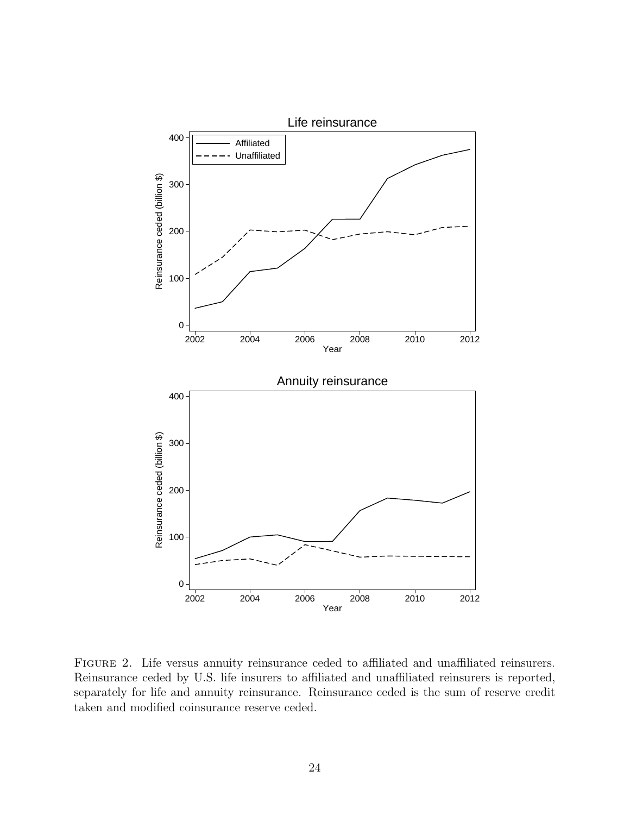

FIGURE 2. Life versus annuity reinsurance ceded to affiliated and unaffiliated reinsurers. Reinsurance ceded by U.S. life insurers to affiliated and unaffiliated reinsurers is reported, separately for life and annuity reinsurance. Reinsurance ceded is the sum of reserve credit taken and modified coinsurance reserve ceded.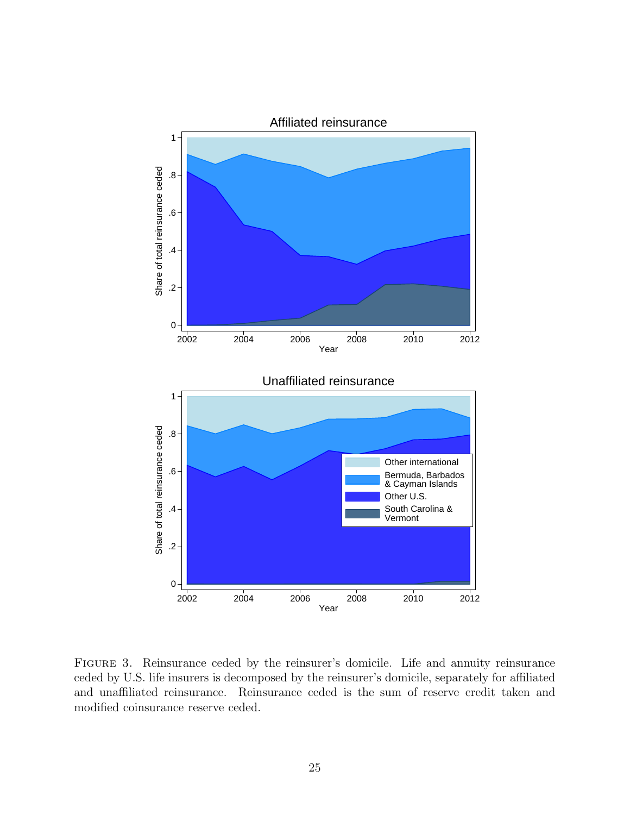

FIGURE 3. Reinsurance ceded by the reinsurer's domicile. Life and annuity reinsurance ceded by U.S. life insurers is decomposed by the reinsurer's domicile, separately for affiliated and unaffiliated reinsurance. Reinsurance ceded is the sum of reserve credit taken and modified coinsurance reserve ceded.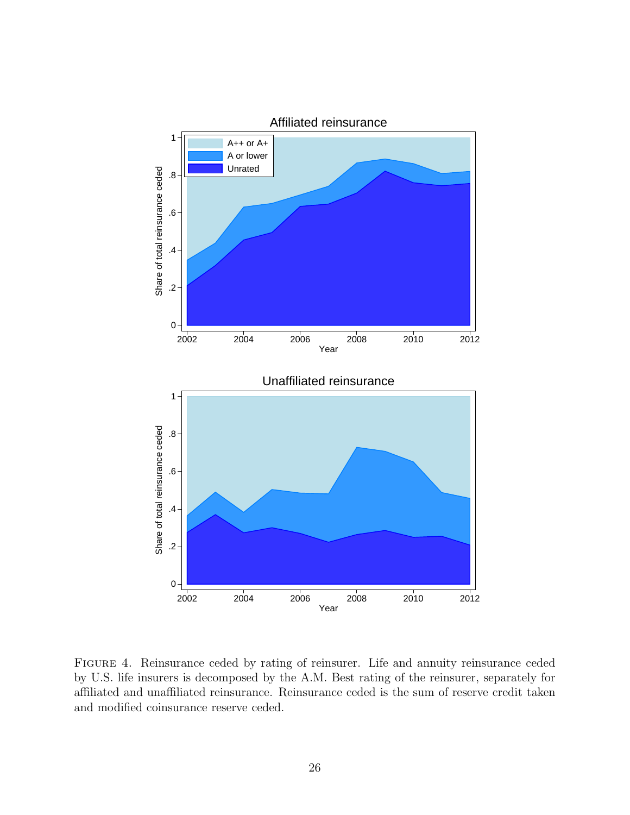

FIGURE 4. Reinsurance ceded by rating of reinsurer. Life and annuity reinsurance ceded by U.S. life insurers is decomposed by the A.M. Best rating of the reinsurer, separately for affiliated and unaffiliated reinsurance. Reinsurance ceded is the sum of reserve credit taken and modified coinsurance reserve ceded.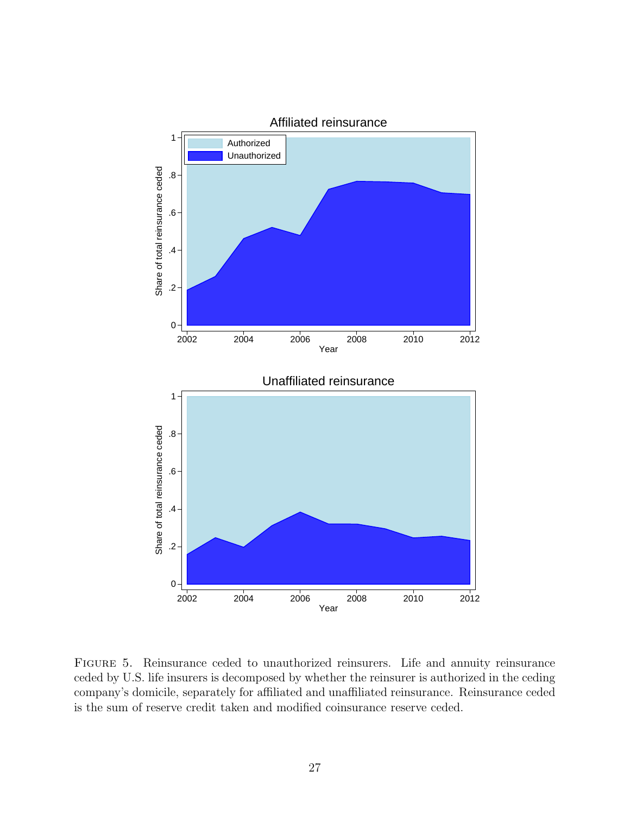

Figure 5. Reinsurance ceded to unauthorized reinsurers. Life and annuity reinsurance ceded by U.S. life insurers is decomposed by whether the reinsurer is authorized in the ceding company's domicile, separately for affiliated and unaffiliated reinsurance. Reinsurance ceded is the sum of reserve credit taken and modified coinsurance reserve ceded.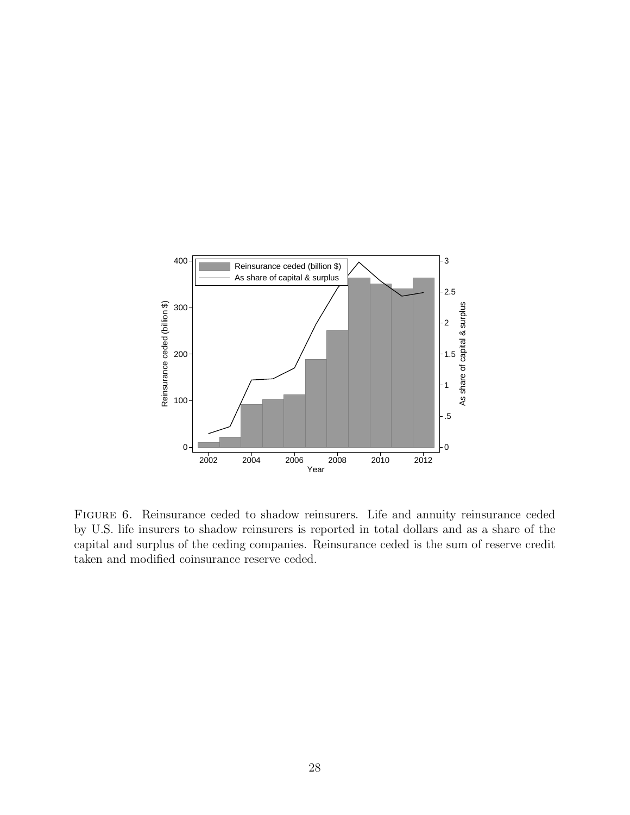

FIGURE 6. Reinsurance ceded to shadow reinsurers. Life and annuity reinsurance ceded by U.S. life insurers to shadow reinsurers is reported in total dollars and as a share of the capital and surplus of the ceding companies. Reinsurance ceded is the sum of reserve credit taken and modified coinsurance reserve ceded.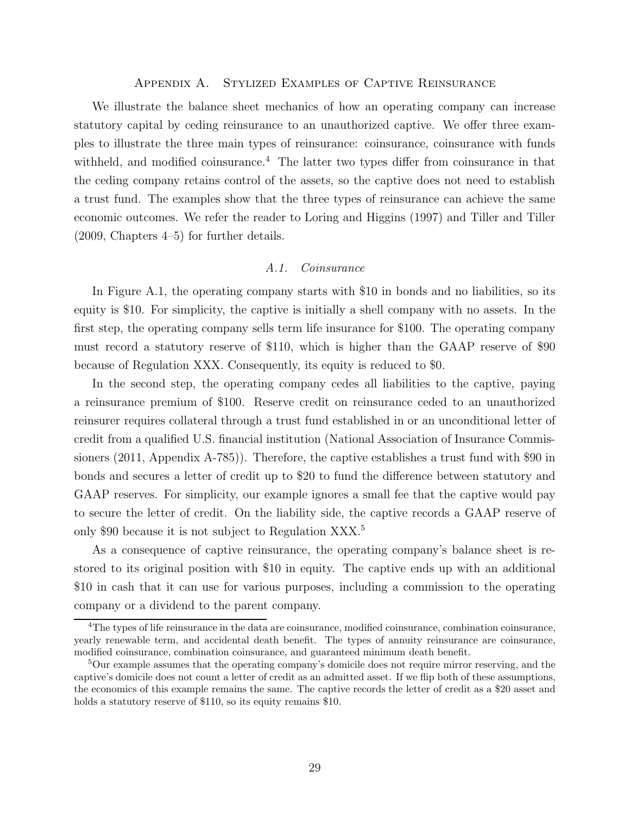#### Appendix A. Stylized Examples of Captive Reinsurance

We illustrate the balance sheet mechanics of how an operating company can increase statutory capital by ceding reinsurance to an unauthorized captive. We offer three examples to illustrate the three main types of reinsurance: coinsurance, coinsurance with funds withheld, and modified coinsurance.<sup>4</sup> The latter two types differ from coinsurance in that the ceding company retains control of the assets, so the captive does not need to establish a trust fund. The examples show that the three types of reinsurance can achieve the same economic outcomes. We refer the reader to Loring and Higgins (1997) and Tiller and Tiller (2009, Chapters 4–5) for further details.

#### A.1. Coinsurance

In Figure A.1, the operating company starts with \$10 in bonds and no liabilities, so its equity is \$10. For simplicity, the captive is initially a shell company with no assets. In the first step, the operating company sells term life insurance for \$100. The operating company must record a statutory reserve of \$110, which is higher than the GAAP reserve of \$90 because of Regulation XXX. Consequently, its equity is reduced to \$0.

In the second step, the operating company cedes all liabilities to the captive, paying a reinsurance premium of \$100. Reserve credit on reinsurance ceded to an unauthorized reinsurer requires collateral through a trust fund established in or an unconditional letter of credit from a qualified U.S. financial institution (National Association of Insurance Commissioners (2011, Appendix A-785)). Therefore, the captive establishes a trust fund with \$90 in bonds and secures a letter of credit up to \$20 to fund the difference between statutory and GAAP reserves. For simplicity, our example ignores a small fee that the captive would pay to secure the letter of credit. On the liability side, the captive records a GAAP reserve of only \$90 because it is not subject to Regulation XXX.<sup>5</sup>

As a consequence of captive reinsurance, the operating company's balance sheet is restored to its original position with \$10 in equity. The captive ends up with an additional \$10 in cash that it can use for various purposes, including a commission to the operating company or a dividend to the parent company.

<sup>&</sup>lt;sup>4</sup>The types of life reinsurance in the data are coinsurance, modified coinsurance, combination coinsurance, yearly renewable term, and accidental death benefit. The types of annuity reinsurance are coinsurance, modified coinsurance, combination coinsurance, and guaranteed minimum death benefit.

<sup>5</sup>Our example assumes that the operating company's domicile does not require mirror reserving, and the captive's domicile does not count a letter of credit as an admitted asset. If we flip both of these assumptions, the economics of this example remains the same. The captive records the letter of credit as a \$20 asset and holds a statutory reserve of \$110, so its equity remains \$10.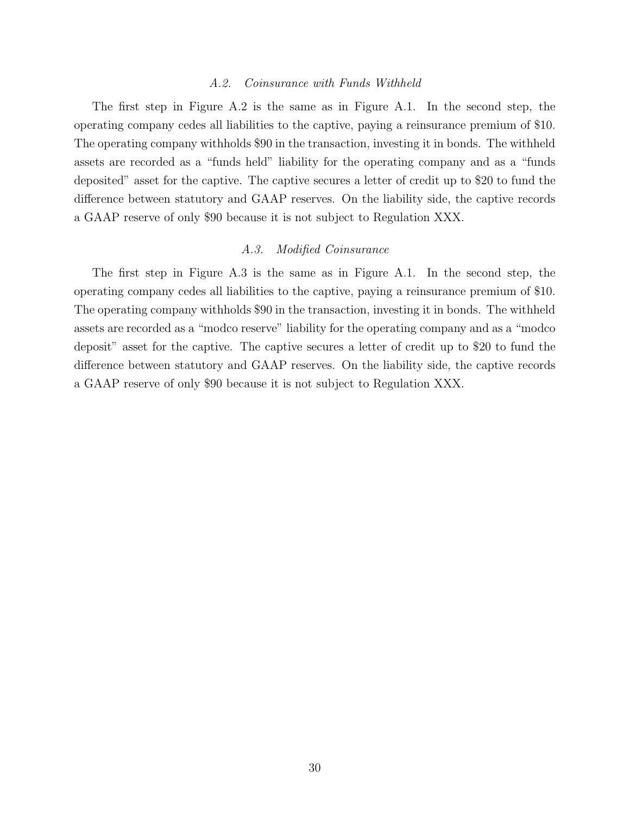#### A.2. Coinsurance with Funds Withheld

The first step in Figure A.2 is the same as in Figure A.1. In the second step, the operating company cedes all liabilities to the captive, paying a reinsurance premium of \$10. The operating company withholds \$90 in the transaction, investing it in bonds. The withheld assets are recorded as a "funds held" liability for the operating company and as a "funds deposited" asset for the captive. The captive secures a letter of credit up to \$20 to fund the difference between statutory and GAAP reserves. On the liability side, the captive records a GAAP reserve of only \$90 because it is not subject to Regulation XXX.

## A.3. Modified Coinsurance

The first step in Figure A.3 is the same as in Figure A.1. In the second step, the operating company cedes all liabilities to the captive, paying a reinsurance premium of \$10. The operating company withholds \$90 in the transaction, investing it in bonds. The withheld assets are recorded as a "modco reserve" liability for the operating company and as a "modco deposit" asset for the captive. The captive secures a letter of credit up to \$20 to fund the difference between statutory and GAAP reserves. On the liability side, the captive records a GAAP reserve of only \$90 because it is not subject to Regulation XXX.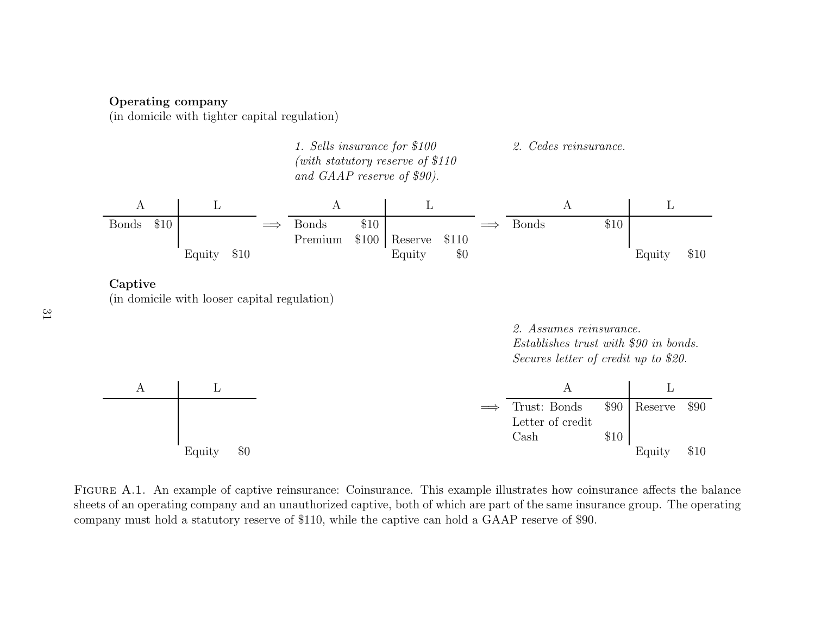# **Operating company**

(in domicile with tighter capital regulation)





(in domicile with looser capital regulation)

2. Assumes reinsurance.Establishes trust with *\$*90 in bonds. Secures letter of credit up to *\$*20.

|        |     | Trust: Bonds     | \$90 | Reserve \$90 |      |
|--------|-----|------------------|------|--------------|------|
|        |     | Letter of credit |      |              |      |
|        |     | Cash             | \$10 |              |      |
| Equity | \$0 |                  |      | Equity       | \$10 |

Figure A.1. An example of captive reinsurance: Coinsurance. This example illustrates how coinsurance affects the balance sheets of an operating company and an unauthorized captive, both of which are part of the same insurance group. The operating company must hold <sup>a</sup> statutory reserve of \$110, while the captive can hold <sup>a</sup> GAAP reserve of \$90.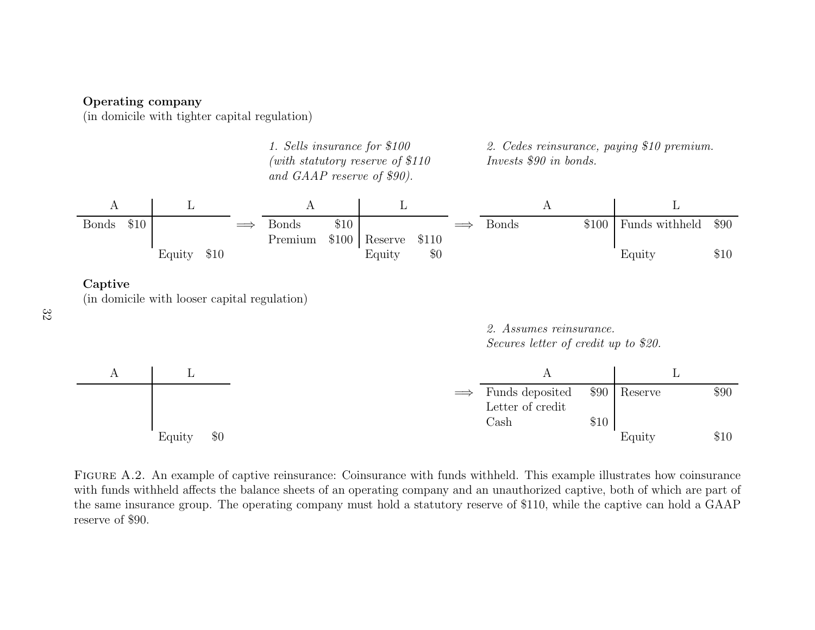# **Operating company**

(in domicile with tighter capital regulation)



**Captive**

(in domicile with looser capital regulation)

32

2. Assumes reinsurance.Secures letter of credit up to *\$*20.



Figure A.2. An example of captive reinsurance: Coinsurance with funds withheld. This example illustrates how coinsurance with funds withheld affects the balance sheets of an operating company and an unauthorized captive, both of which are part of the same insurance group. The operating company must hold <sup>a</sup> statutory reserve of \$110, while the captive can hold <sup>a</sup> GAAP reserve of \$90.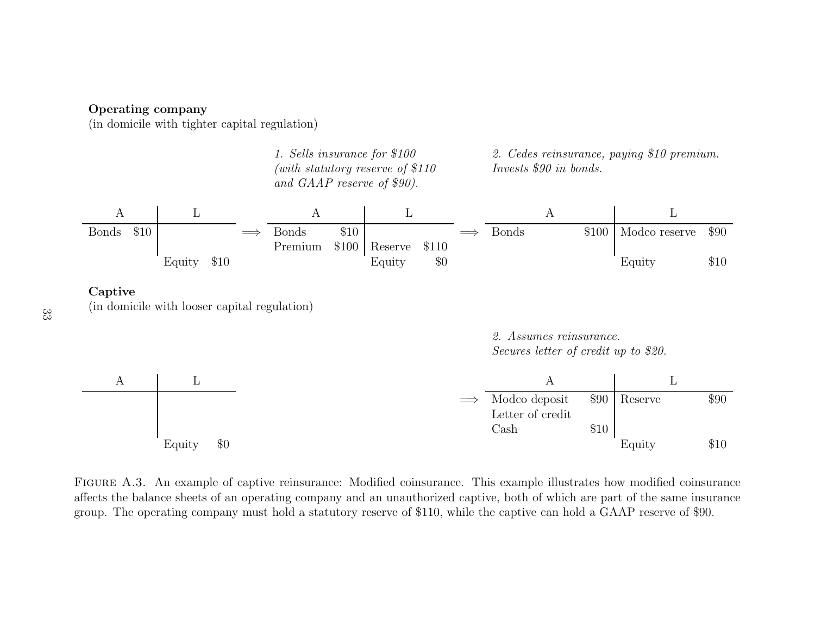# **Operating company**

(in domicile with tighter capital regulation)



**Captive**

(in domicile with looser capital regulation)

2. Assumes reinsurance. Secures letter of credit up to *\$*20.



Figure A.3. An example of captive reinsurance: Modified coinsurance. This example illustrates how modified coinsurance affects the balance sheets of an operating company and an unauthorized captive, both of which are part of the same insurance group. The operating company must hold <sup>a</sup> statutory reserve of \$110, while the captive can hold <sup>a</sup> GAAP reserve of \$90.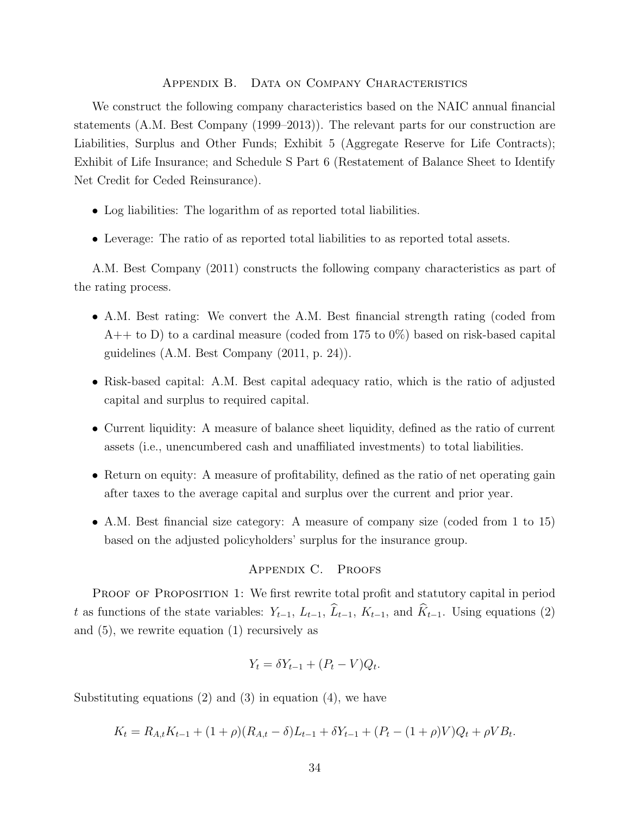#### Appendix B. Data on Company Characteristics

We construct the following company characteristics based on the NAIC annual financial statements (A.M. Best Company (1999–2013)). The relevant parts for our construction are Liabilities, Surplus and Other Funds; Exhibit 5 (Aggregate Reserve for Life Contracts); Exhibit of Life Insurance; and Schedule S Part 6 (Restatement of Balance Sheet to Identify Net Credit for Ceded Reinsurance).

- Log liabilities: The logarithm of as reported total liabilities.
- Leverage: The ratio of as reported total liabilities to as reported total assets.

A.M. Best Company (2011) constructs the following company characteristics as part of the rating process.

- A.M. Best rating: We convert the A.M. Best financial strength rating (coded from  $A++$  to D) to a cardinal measure (coded from 175 to 0%) based on risk-based capital guidelines (A.M. Best Company (2011, p. 24)).
- Risk-based capital: A.M. Best capital adequacy ratio, which is the ratio of adjusted capital and surplus to required capital.
- Current liquidity: A measure of balance sheet liquidity, defined as the ratio of current assets (i.e., unencumbered cash and unaffiliated investments) to total liabilities.
- Return on equity: A measure of profitability, defined as the ratio of net operating gain after taxes to the average capital and surplus over the current and prior year.
- A.M. Best financial size category: A measure of company size (coded from 1 to 15) based on the adjusted policyholders' surplus for the insurance group.

# Appendix C. Proofs

PROOF OF PROPOSITION 1: We first rewrite total profit and statutory capital in period t as functions of the state variables:  $Y_{t-1}$ ,  $L_{t-1}$ ,  $\hat{L}_{t-1}$ ,  $K_{t-1}$ , and  $\hat{K}_{t-1}$ . Using equations (2) and (5), we rewrite equation (1) recursively as

$$
Y_t = \delta Y_{t-1} + (P_t - V)Q_t.
$$

Substituting equations  $(2)$  and  $(3)$  in equation  $(4)$ , we have

$$
K_t = R_{A,t}K_{t-1} + (1+\rho)(R_{A,t}-\delta)L_{t-1} + \delta Y_{t-1} + (P_t - (1+\rho)V)Q_t + \rho VB_t.
$$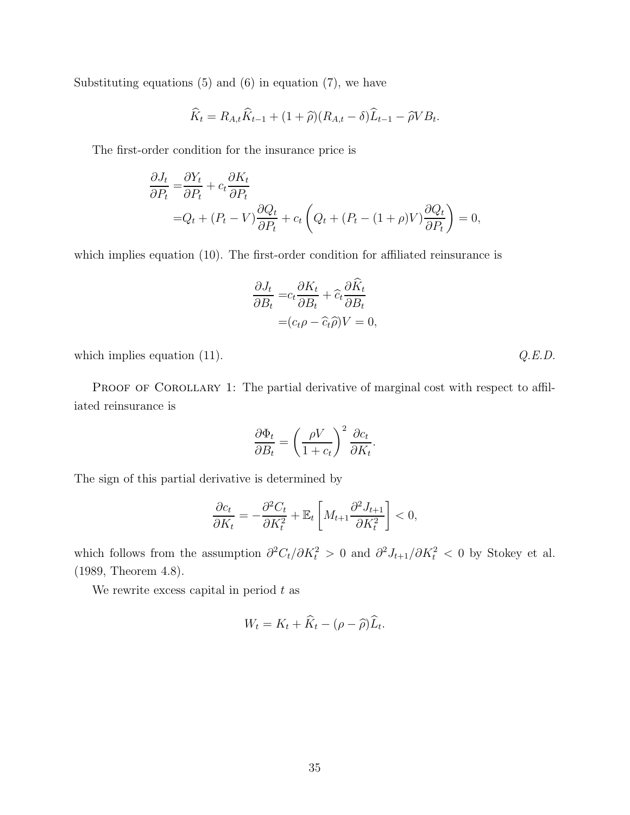Substituting equations  $(5)$  and  $(6)$  in equation  $(7)$ , we have

$$
\widehat{K}_t = R_{A,t}\widehat{K}_{t-1} + (1+\widehat{\rho})(R_{A,t}-\delta)\widehat{L}_{t-1} - \widehat{\rho}VB_t.
$$

The first-order condition for the insurance price is

$$
\frac{\partial J_t}{\partial P_t} = \frac{\partial Y_t}{\partial P_t} + c_t \frac{\partial K_t}{\partial P_t}
$$
  
=  $Q_t + (P_t - V) \frac{\partial Q_t}{\partial P_t} + c_t \left( Q_t + (P_t - (1 + \rho)V) \frac{\partial Q_t}{\partial P_t} \right) = 0,$ 

which implies equation (10). The first-order condition for affiliated reinsurance is

$$
\frac{\partial J_t}{\partial B_t} = c_t \frac{\partial K_t}{\partial B_t} + \hat{c}_t \frac{\partial \hat{K}_t}{\partial B_t} \n= (c_t \rho - \hat{c}_t \hat{\rho}) V = 0,
$$

which implies equation  $(11)$ .  $Q.E.D.$ 

PROOF OF COROLLARY 1: The partial derivative of marginal cost with respect to affiliated reinsurance is

$$
\frac{\partial \Phi_t}{\partial B_t} = \left(\frac{\rho V}{1 + c_t}\right)^2 \frac{\partial c_t}{\partial K_t}.
$$

The sign of this partial derivative is determined by

$$
\frac{\partial c_t}{\partial K_t} = -\frac{\partial^2 C_t}{\partial K_t^2} + \mathbb{E}_t \left[ M_{t+1} \frac{\partial^2 J_{t+1}}{\partial K_t^2} \right] < 0,
$$

which follows from the assumption  $\partial^2 C_t/\partial K_t^2 > 0$  and  $\partial^2 J_{t+1}/\partial K_t^2 < 0$  by Stokey et al. (1989, Theorem 4.8).

We rewrite excess capital in period  $t$  as

$$
W_t = K_t + \widehat{K}_t - (\rho - \widehat{\rho})\widehat{L}_t.
$$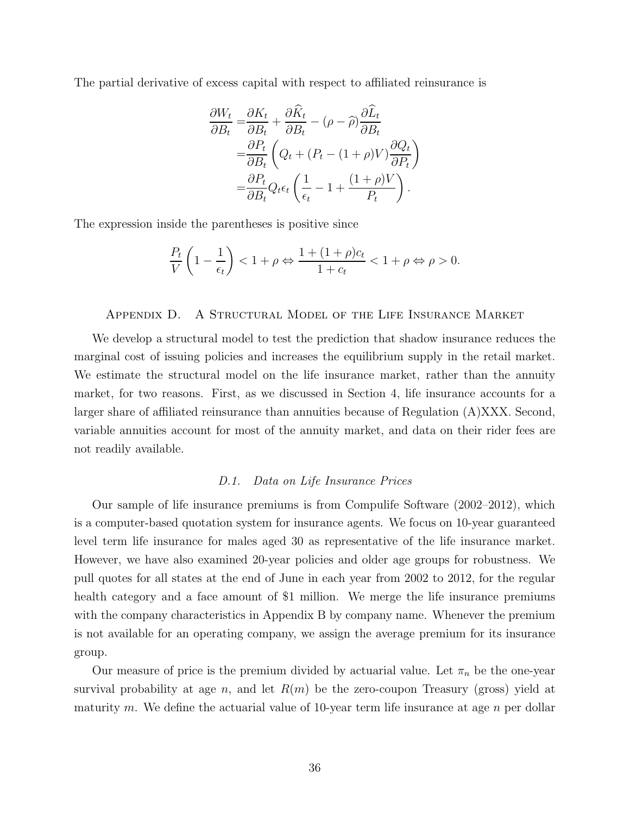The partial derivative of excess capital with respect to affiliated reinsurance is

$$
\frac{\partial W_t}{\partial B_t} = \frac{\partial K_t}{\partial B_t} + \frac{\partial \hat{K}_t}{\partial B_t} - (\rho - \hat{\rho}) \frac{\partial \hat{L}_t}{\partial B_t}
$$

$$
= \frac{\partial P_t}{\partial B_t} \left( Q_t + (P_t - (1 + \rho)V) \frac{\partial Q_t}{\partial P_t} \right)
$$

$$
= \frac{\partial P_t}{\partial B_t} Q_t \epsilon_t \left( \frac{1}{\epsilon_t} - 1 + \frac{(1 + \rho)V}{P_t} \right).
$$

The expression inside the parentheses is positive since

$$
\frac{P_t}{V}\left(1-\frac{1}{\epsilon_t}\right)<1+\rho\Leftrightarrow\frac{1+(1+\rho)c_t}{1+c_t}<1+\rho\Leftrightarrow\rho>0.
$$

#### Appendix D. A Structural Model of the Life Insurance Market

We develop a structural model to test the prediction that shadow insurance reduces the marginal cost of issuing policies and increases the equilibrium supply in the retail market. We estimate the structural model on the life insurance market, rather than the annuity market, for two reasons. First, as we discussed in Section 4, life insurance accounts for a larger share of affiliated reinsurance than annuities because of Regulation (A)XXX. Second, variable annuities account for most of the annuity market, and data on their rider fees are not readily available.

# D.1. Data on Life Insurance Prices

Our sample of life insurance premiums is from Compulife Software (2002–2012), which is a computer-based quotation system for insurance agents. We focus on 10-year guaranteed level term life insurance for males aged 30 as representative of the life insurance market. However, we have also examined 20-year policies and older age groups for robustness. We pull quotes for all states at the end of June in each year from 2002 to 2012, for the regular health category and a face amount of \$1 million. We merge the life insurance premiums with the company characteristics in Appendix B by company name. Whenever the premium is not available for an operating company, we assign the average premium for its insurance group.

Our measure of price is the premium divided by actuarial value. Let  $\pi_n$  be the one-year survival probability at age n, and let  $R(m)$  be the zero-coupon Treasury (gross) yield at maturity m. We define the actuarial value of 10-year term life insurance at age  $n$  per dollar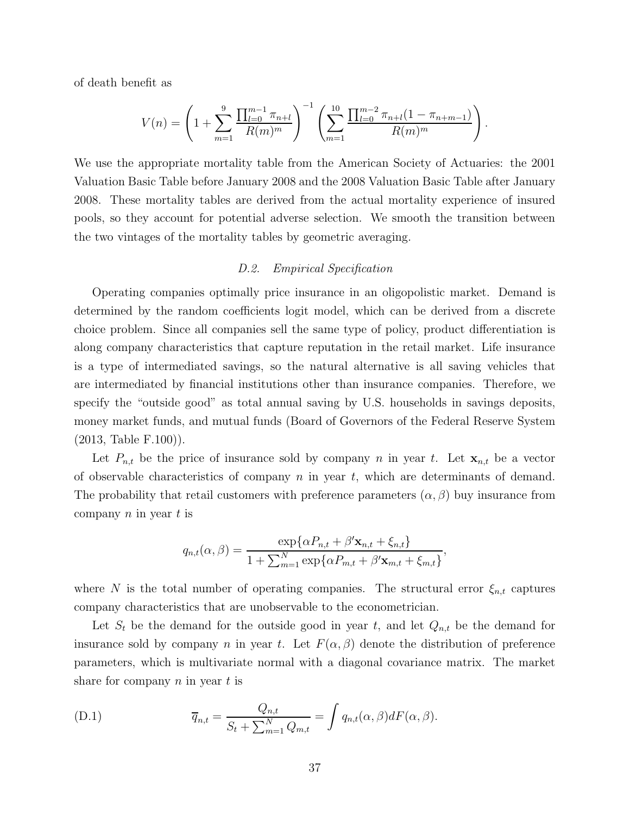of death benefit as

$$
V(n) = \left(1 + \sum_{m=1}^{9} \frac{\prod_{l=0}^{m-1} \pi_{n+l}}{R(m)^m}\right)^{-1} \left(\sum_{m=1}^{10} \frac{\prod_{l=0}^{m-2} \pi_{n+l}(1 - \pi_{n+m-1})}{R(m)^m}\right).
$$

We use the appropriate mortality table from the American Society of Actuaries: the 2001 Valuation Basic Table before January 2008 and the 2008 Valuation Basic Table after January 2008. These mortality tables are derived from the actual mortality experience of insured pools, so they account for potential adverse selection. We smooth the transition between the two vintages of the mortality tables by geometric averaging.

## D.2. Empirical Specification

Operating companies optimally price insurance in an oligopolistic market. Demand is determined by the random coefficients logit model, which can be derived from a discrete choice problem. Since all companies sell the same type of policy, product differentiation is along company characteristics that capture reputation in the retail market. Life insurance is a type of intermediated savings, so the natural alternative is all saving vehicles that are intermediated by financial institutions other than insurance companies. Therefore, we specify the "outside good" as total annual saving by U.S. households in savings deposits, money market funds, and mutual funds (Board of Governors of the Federal Reserve System (2013, Table F.100)).

Let  $P_{n,t}$  be the price of insurance sold by company n in year t. Let  $\mathbf{x}_{n,t}$  be a vector of observable characteristics of company  $n$  in year  $t$ , which are determinants of demand. The probability that retail customers with preference parameters  $(\alpha, \beta)$  buy insurance from company  $n$  in year  $t$  is

$$
q_{n,t}(\alpha,\beta) = \frac{\exp{\{\alpha P_{n,t} + \beta' \mathbf{x}_{n,t} + \xi_{n,t}\}}}{1 + \sum_{m=1}^N \exp{\{\alpha P_{m,t} + \beta' \mathbf{x}_{m,t} + \xi_{m,t}\}},
$$

where N is the total number of operating companies. The structural error  $\xi_{n,t}$  captures company characteristics that are unobservable to the econometrician.

Let  $S_t$  be the demand for the outside good in year t, and let  $Q_{n,t}$  be the demand for insurance sold by company n in year t. Let  $F(\alpha, \beta)$  denote the distribution of preference parameters, which is multivariate normal with a diagonal covariance matrix. The market share for company  $n$  in year  $t$  is

(D.1) 
$$
\overline{q}_{n,t} = \frac{Q_{n,t}}{S_t + \sum_{m=1}^{N} Q_{m,t}} = \int q_{n,t}(\alpha, \beta) dF(\alpha, \beta).
$$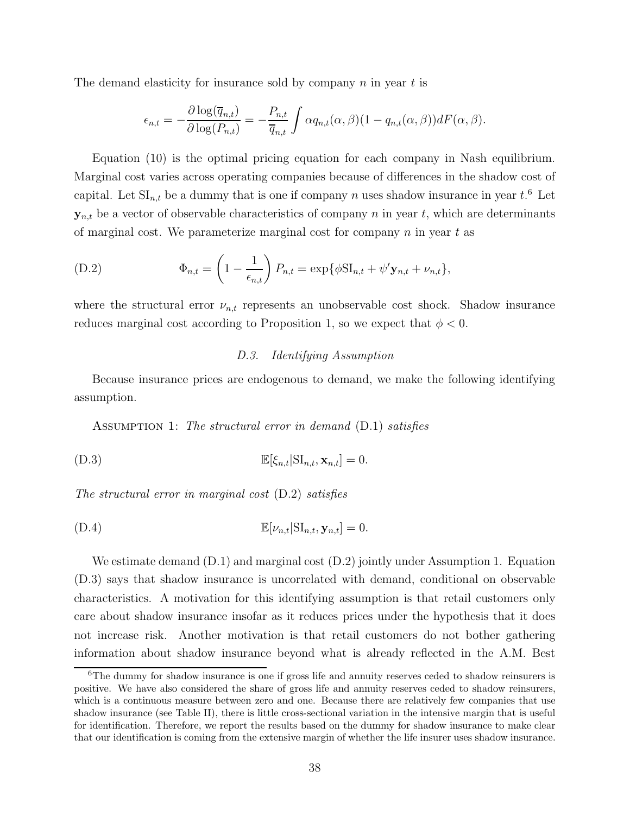The demand elasticity for insurance sold by company  $n$  in year  $t$  is

$$
\epsilon_{n,t} = -\frac{\partial \log(\overline{q}_{n,t})}{\partial \log(P_{n,t})} = -\frac{P_{n,t}}{\overline{q}_{n,t}} \int \alpha q_{n,t}(\alpha,\beta) (1 - q_{n,t}(\alpha,\beta)) dF(\alpha,\beta).
$$

Equation (10) is the optimal pricing equation for each company in Nash equilibrium. Marginal cost varies across operating companies because of differences in the shadow cost of capital. Let  $\mathrm{SI}_{n,t}$  be a dummy that is one if company n uses shadow insurance in year  $t$ .<sup>6</sup> Let  $y_{n,t}$  be a vector of observable characteristics of company n in year t, which are determinants of marginal cost. We parameterize marginal cost for company  $n$  in year  $t$  as

(D.2) 
$$
\Phi_{n,t} = \left(1 - \frac{1}{\epsilon_{n,t}}\right) P_{n,t} = \exp{\{\phi S I_{n,t} + \psi' \mathbf{y}_{n,t} + \nu_{n,t}\}},
$$

where the structural error  $\nu_{n,t}$  represents an unobservable cost shock. Shadow insurance reduces marginal cost according to Proposition 1, so we expect that  $\phi < 0$ .

# D.3. Identifying Assumption

Because insurance prices are endogenous to demand, we make the following identifying assumption.

ASSUMPTION 1: The structural error in demand (D.1) satisfies

$$
\mathbb{E}[\xi_{n,t}|\mathrm{SI}_{n,t}, \mathbf{x}_{n,t}] = 0.
$$

The structural error in marginal cost (D.2) satisfies

$$
\mathbb{E}[\nu_{n,t}|\mathrm{SI}_{n,t}, \mathbf{y}_{n,t}] = 0.
$$

We estimate demand  $(D.1)$  and marginal cost  $(D.2)$  jointly under Assumption 1. Equation (D.3) says that shadow insurance is uncorrelated with demand, conditional on observable characteristics. A motivation for this identifying assumption is that retail customers only care about shadow insurance insofar as it reduces prices under the hypothesis that it does not increase risk. Another motivation is that retail customers do not bother gathering information about shadow insurance beyond what is already reflected in the A.M. Best

<sup>&</sup>lt;sup>6</sup>The dummy for shadow insurance is one if gross life and annuity reserves ceded to shadow reinsurers is positive. We have also considered the share of gross life and annuity reserves ceded to shadow reinsurers, which is a continuous measure between zero and one. Because there are relatively few companies that use shadow insurance (see Table II), there is little cross-sectional variation in the intensive margin that is useful for identification. Therefore, we report the results based on the dummy for shadow insurance to make clear that our identification is coming from the extensive margin of whether the life insurer uses shadow insurance.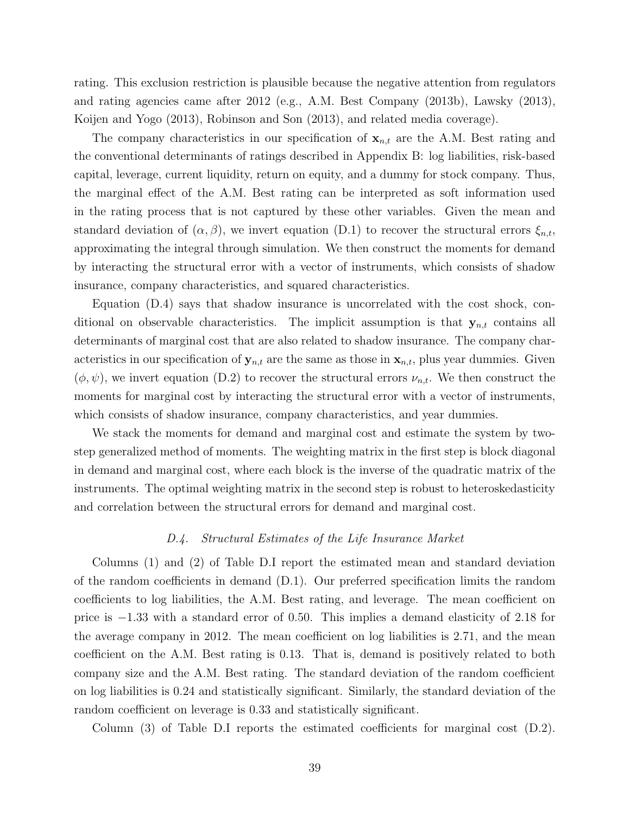rating. This exclusion restriction is plausible because the negative attention from regulators and rating agencies came after 2012 (e.g., A.M. Best Company (2013b), Lawsky (2013), Koijen and Yogo (2013), Robinson and Son (2013), and related media coverage).

The company characteristics in our specification of **<sup>x</sup>***n,t* are the A.M. Best rating and the conventional determinants of ratings described in Appendix B: log liabilities, risk-based capital, leverage, current liquidity, return on equity, and a dummy for stock company. Thus, the marginal effect of the A.M. Best rating can be interpreted as soft information used in the rating process that is not captured by these other variables. Given the mean and standard deviation of  $(\alpha, \beta)$ , we invert equation (D.1) to recover the structural errors  $\xi_{n,t}$ , approximating the integral through simulation. We then construct the moments for demand by interacting the structural error with a vector of instruments, which consists of shadow insurance, company characteristics, and squared characteristics.

Equation (D.4) says that shadow insurance is uncorrelated with the cost shock, conditional on observable characteristics. The implicit assumption is that **<sup>y</sup>***n,t* contains all determinants of marginal cost that are also related to shadow insurance. The company characteristics in our specification of  $y_{n,t}$  are the same as those in  $x_{n,t}$ , plus year dummies. Given  $(\phi, \psi)$ , we invert equation (D.2) to recover the structural errors  $\nu_{n,t}$ . We then construct the moments for marginal cost by interacting the structural error with a vector of instruments, which consists of shadow insurance, company characteristics, and year dummies.

We stack the moments for demand and marginal cost and estimate the system by twostep generalized method of moments. The weighting matrix in the first step is block diagonal in demand and marginal cost, where each block is the inverse of the quadratic matrix of the instruments. The optimal weighting matrix in the second step is robust to heteroskedasticity and correlation between the structural errors for demand and marginal cost.

## D.4. Structural Estimates of the Life Insurance Market

Columns (1) and (2) of Table D.I report the estimated mean and standard deviation of the random coefficients in demand (D.1). Our preferred specification limits the random coefficients to log liabilities, the A.M. Best rating, and leverage. The mean coefficient on price is −1.33 with a standard error of 0.50. This implies a demand elasticity of 2.18 for the average company in 2012. The mean coefficient on log liabilities is 2.71, and the mean coefficient on the A.M. Best rating is 0.13. That is, demand is positively related to both company size and the A.M. Best rating. The standard deviation of the random coefficient on log liabilities is 0.24 and statistically significant. Similarly, the standard deviation of the random coefficient on leverage is 0.33 and statistically significant.

Column (3) of Table D.I reports the estimated coefficients for marginal cost (D.2).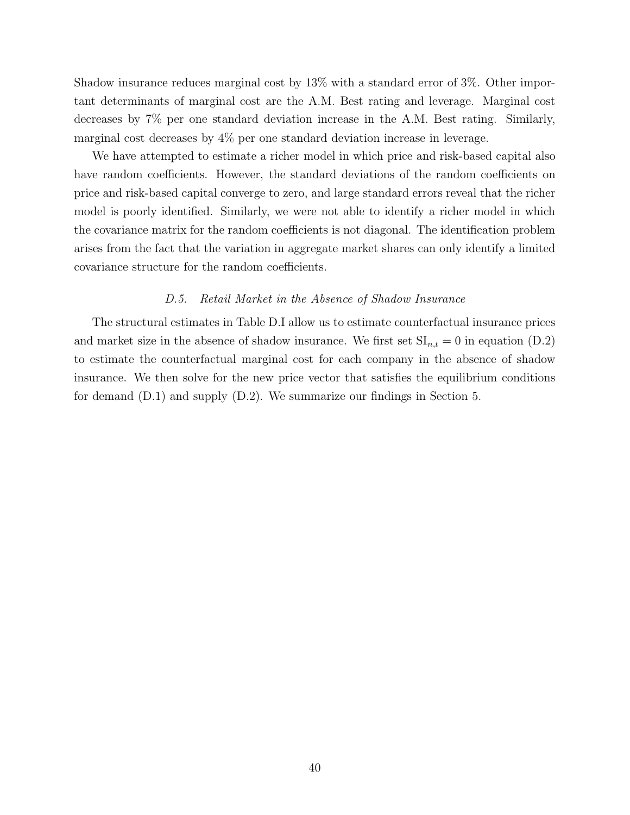Shadow insurance reduces marginal cost by 13% with a standard error of 3%. Other important determinants of marginal cost are the A.M. Best rating and leverage. Marginal cost decreases by 7% per one standard deviation increase in the A.M. Best rating. Similarly, marginal cost decreases by 4% per one standard deviation increase in leverage.

We have attempted to estimate a richer model in which price and risk-based capital also have random coefficients. However, the standard deviations of the random coefficients on price and risk-based capital converge to zero, and large standard errors reveal that the richer model is poorly identified. Similarly, we were not able to identify a richer model in which the covariance matrix for the random coefficients is not diagonal. The identification problem arises from the fact that the variation in aggregate market shares can only identify a limited covariance structure for the random coefficients.

#### D.5. Retail Market in the Absence of Shadow Insurance

The structural estimates in Table D.I allow us to estimate counterfactual insurance prices and market size in the absence of shadow insurance. We first set  $SI_{n,t} = 0$  in equation (D.2) to estimate the counterfactual marginal cost for each company in the absence of shadow insurance. We then solve for the new price vector that satisfies the equilibrium conditions for demand (D.1) and supply (D.2). We summarize our findings in Section 5.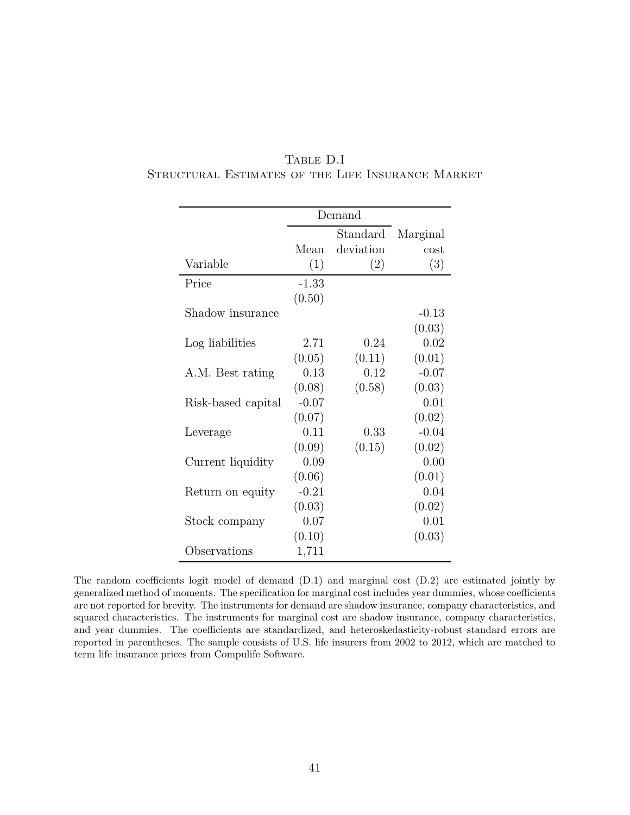| TABLE D.I                                         |  |
|---------------------------------------------------|--|
| STRUCTURAL ESTIMATES OF THE LIFE INSURANCE MARKET |  |

|                    | Demand   |           |          |
|--------------------|----------|-----------|----------|
|                    | Standard |           | Marginal |
|                    | Mean     | deviation | cost     |
| Variable           | (1)      | (2)       | (3)      |
| Price              | $-1.33$  |           |          |
|                    | (0.50)   |           |          |
| Shadow insurance   |          |           | $-0.13$  |
|                    |          |           | (0.03)   |
| Log liabilities    | 2.71     | 0.24      | 0.02     |
|                    | (0.05)   | (0.11)    | (0.01)   |
| A.M. Best rating   | 0.13     | 0.12      | $-0.07$  |
|                    | (0.08)   | (0.58)    | (0.03)   |
| Risk-based capital | $-0.07$  |           | 0.01     |
|                    | (0.07)   |           | (0.02)   |
| Leverage           | 0.11     | 0.33      | $-0.04$  |
|                    | (0.09)   | (0.15)    | (0.02)   |
| Current liquidity  | 0.09     |           | 0.00     |
|                    | (0.06)   |           | (0.01)   |
| Return on equity   | $-0.21$  |           | 0.04     |
|                    | (0.03)   |           | (0.02)   |
| Stock company      | 0.07     |           | 0.01     |
|                    | (0.10)   |           | (0.03)   |
| Observations       | 1,711    |           |          |

The random coefficients logit model of demand (D.1) and marginal cost (D.2) are estimated jointly by generalized method of moments. The specification for marginal cost includes year dummies, whose coefficients are not reported for brevity. The instruments for demand are shadow insurance, company characteristics, and squared characteristics. The instruments for marginal cost are shadow insurance, company characteristics, and year dummies. The coefficients are standardized, and heteroskedasticity-robust standard errors are reported in parentheses. The sample consists of U.S. life insurers from 2002 to 2012, which are matched to term life insurance prices from Compulife Software.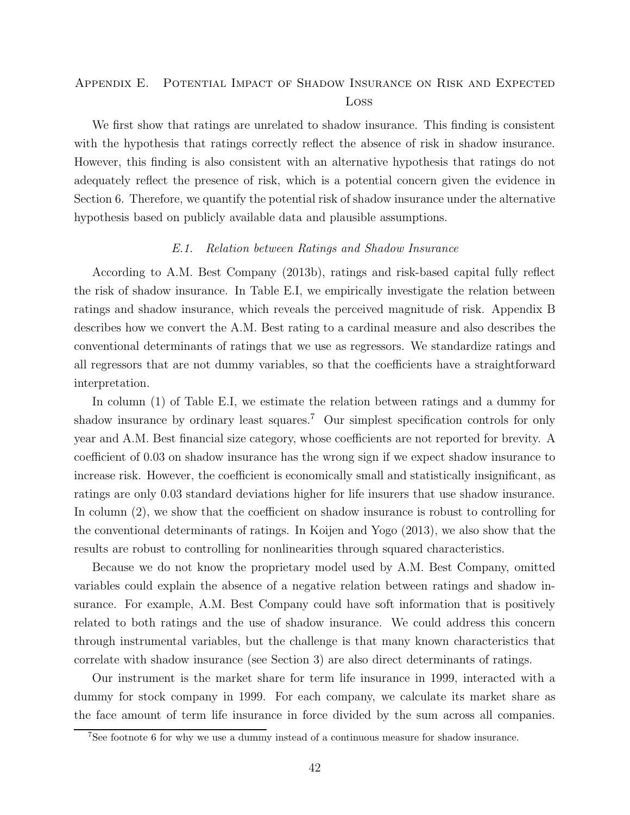# Appendix E. Potential Impact of Shadow Insurance on Risk and Expected Loss

We first show that ratings are unrelated to shadow insurance. This finding is consistent with the hypothesis that ratings correctly reflect the absence of risk in shadow insurance. However, this finding is also consistent with an alternative hypothesis that ratings do not adequately reflect the presence of risk, which is a potential concern given the evidence in Section 6. Therefore, we quantify the potential risk of shadow insurance under the alternative hypothesis based on publicly available data and plausible assumptions.

#### E.1. Relation between Ratings and Shadow Insurance

According to A.M. Best Company (2013b), ratings and risk-based capital fully reflect the risk of shadow insurance. In Table E.I, we empirically investigate the relation between ratings and shadow insurance, which reveals the perceived magnitude of risk. Appendix B describes how we convert the A.M. Best rating to a cardinal measure and also describes the conventional determinants of ratings that we use as regressors. We standardize ratings and all regressors that are not dummy variables, so that the coefficients have a straightforward interpretation.

In column (1) of Table E.I, we estimate the relation between ratings and a dummy for shadow insurance by ordinary least squares.<sup>7</sup> Our simplest specification controls for only year and A.M. Best financial size category, whose coefficients are not reported for brevity. A coefficient of 0.03 on shadow insurance has the wrong sign if we expect shadow insurance to increase risk. However, the coefficient is economically small and statistically insignificant, as ratings are only 0.03 standard deviations higher for life insurers that use shadow insurance. In column (2), we show that the coefficient on shadow insurance is robust to controlling for the conventional determinants of ratings. In Koijen and Yogo (2013), we also show that the results are robust to controlling for nonlinearities through squared characteristics.

Because we do not know the proprietary model used by A.M. Best Company, omitted variables could explain the absence of a negative relation between ratings and shadow insurance. For example, A.M. Best Company could have soft information that is positively related to both ratings and the use of shadow insurance. We could address this concern through instrumental variables, but the challenge is that many known characteristics that correlate with shadow insurance (see Section 3) are also direct determinants of ratings.

Our instrument is the market share for term life insurance in 1999, interacted with a dummy for stock company in 1999. For each company, we calculate its market share as the face amount of term life insurance in force divided by the sum across all companies.

<sup>7</sup>See footnote 6 for why we use a dummy instead of a continuous measure for shadow insurance.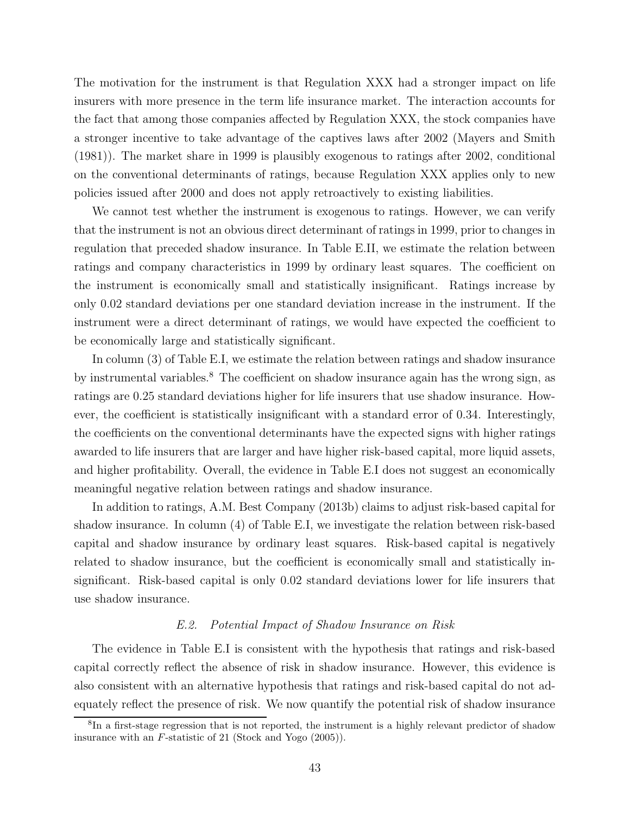The motivation for the instrument is that Regulation XXX had a stronger impact on life insurers with more presence in the term life insurance market. The interaction accounts for the fact that among those companies affected by Regulation XXX, the stock companies have a stronger incentive to take advantage of the captives laws after 2002 (Mayers and Smith (1981)). The market share in 1999 is plausibly exogenous to ratings after 2002, conditional on the conventional determinants of ratings, because Regulation XXX applies only to new policies issued after 2000 and does not apply retroactively to existing liabilities.

We cannot test whether the instrument is exogenous to ratings. However, we can verify that the instrument is not an obvious direct determinant of ratings in 1999, prior to changes in regulation that preceded shadow insurance. In Table E.II, we estimate the relation between ratings and company characteristics in 1999 by ordinary least squares. The coefficient on the instrument is economically small and statistically insignificant. Ratings increase by only 0.02 standard deviations per one standard deviation increase in the instrument. If the instrument were a direct determinant of ratings, we would have expected the coefficient to be economically large and statistically significant.

In column (3) of Table E.I, we estimate the relation between ratings and shadow insurance by instrumental variables.<sup>8</sup> The coefficient on shadow insurance again has the wrong sign, as ratings are 0.25 standard deviations higher for life insurers that use shadow insurance. However, the coefficient is statistically insignificant with a standard error of 0.34. Interestingly, the coefficients on the conventional determinants have the expected signs with higher ratings awarded to life insurers that are larger and have higher risk-based capital, more liquid assets, and higher profitability. Overall, the evidence in Table E.I does not suggest an economically meaningful negative relation between ratings and shadow insurance.

In addition to ratings, A.M. Best Company (2013b) claims to adjust risk-based capital for shadow insurance. In column (4) of Table E.I, we investigate the relation between risk-based capital and shadow insurance by ordinary least squares. Risk-based capital is negatively related to shadow insurance, but the coefficient is economically small and statistically insignificant. Risk-based capital is only 0.02 standard deviations lower for life insurers that use shadow insurance.

#### E.2. Potential Impact of Shadow Insurance on Risk

The evidence in Table E.I is consistent with the hypothesis that ratings and risk-based capital correctly reflect the absence of risk in shadow insurance. However, this evidence is also consistent with an alternative hypothesis that ratings and risk-based capital do not adequately reflect the presence of risk. We now quantify the potential risk of shadow insurance

<sup>&</sup>lt;sup>8</sup>In a first-stage regression that is not reported, the instrument is a highly relevant predictor of shadow insurance with an *F*-statistic of 21 (Stock and Yogo (2005)).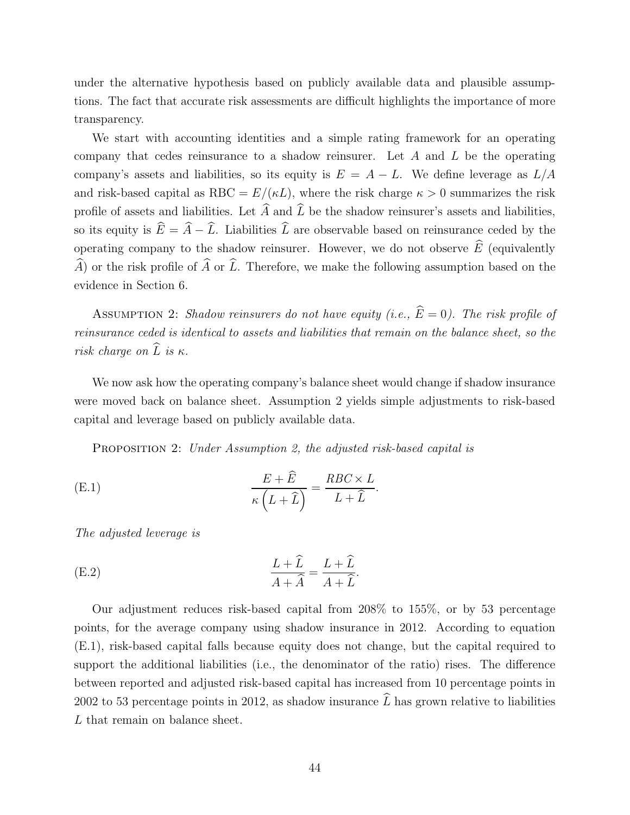under the alternative hypothesis based on publicly available data and plausible assumptions. The fact that accurate risk assessments are difficult highlights the importance of more transparency.

We start with accounting identities and a simple rating framework for an operating company that cedes reinsurance to a shadow reinsurer. Let A and L be the operating company's assets and liabilities, so its equity is  $E = A - L$ . We define leverage as  $L/A$ and risk-based capital as RBC =  $E/(\kappa L)$ , where the risk charge  $\kappa > 0$  summarizes the risk profile of assets and liabilities. Let  $\widehat{A}$  and  $\widehat{L}$  be the shadow reinsurer's assets and liabilities. so its equity is  $\hat{E} = \hat{A} - \hat{L}$ . Liabilities  $\hat{L}$  are observable based on reinsurance ceded by the operating company to the shadow reinsurer. However, we do not observe  $\widehat{E}$  (equivalently  $\widehat{A}$  or the risk profile of  $\widehat{A}$  or  $\widehat{L}$ . Therefore, we make the following assumption based on the evidence in Section 6.

ASSUMPTION 2: Shadow reinsurers do not have equity (i.e.,  $\widehat{E} = 0$ ). The risk profile of reinsurance ceded is identical to assets and liabilities that remain on the balance sheet, so the risk charge on  $\widehat{L}$  is  $\kappa$ .

We now ask how the operating company's balance sheet would change if shadow insurance were moved back on balance sheet. Assumption 2 yields simple adjustments to risk-based capital and leverage based on publicly available data.

PROPOSITION 2: Under Assumption 2, the adjusted risk-based capital is

(E.1) 
$$
\frac{E + \widehat{E}}{\kappa (L + \widehat{L})} = \frac{RBC \times L}{L + \widehat{L}}.
$$

The adjusted leverage is

(E.2) 
$$
\frac{L+\widehat{L}}{A+\widehat{A}} = \frac{L+\widehat{L}}{A+\widehat{L}}.
$$

Our adjustment reduces risk-based capital from 208% to 155%, or by 53 percentage points, for the average company using shadow insurance in 2012. According to equation (E.1), risk-based capital falls because equity does not change, but the capital required to support the additional liabilities (i.e., the denominator of the ratio) rises. The difference between reported and adjusted risk-based capital has increased from 10 percentage points in 2002 to 53 percentage points in 2012, as shadow insurance  $\hat{L}$  has grown relative to liabilities L that remain on balance sheet.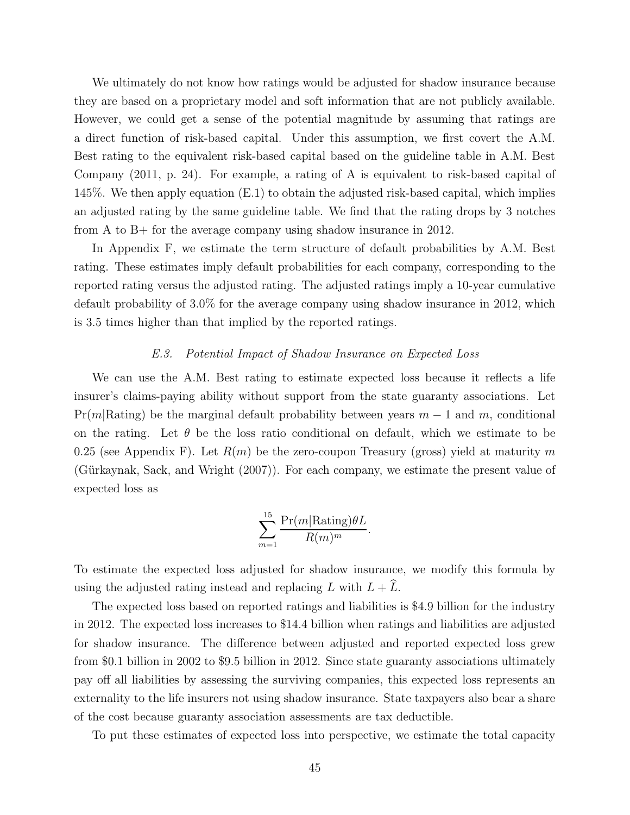We ultimately do not know how ratings would be adjusted for shadow insurance because they are based on a proprietary model and soft information that are not publicly available. However, we could get a sense of the potential magnitude by assuming that ratings are a direct function of risk-based capital. Under this assumption, we first covert the A.M. Best rating to the equivalent risk-based capital based on the guideline table in A.M. Best Company (2011, p. 24). For example, a rating of A is equivalent to risk-based capital of 145%. We then apply equation (E.1) to obtain the adjusted risk-based capital, which implies an adjusted rating by the same guideline table. We find that the rating drops by 3 notches from A to B+ for the average company using shadow insurance in 2012.

In Appendix F, we estimate the term structure of default probabilities by A.M. Best rating. These estimates imply default probabilities for each company, corresponding to the reported rating versus the adjusted rating. The adjusted ratings imply a 10-year cumulative default probability of 3.0% for the average company using shadow insurance in 2012, which is 3.5 times higher than that implied by the reported ratings.

#### E.3. Potential Impact of Shadow Insurance on Expected Loss

We can use the A.M. Best rating to estimate expected loss because it reflects a life insurer's claims-paying ability without support from the state guaranty associations. Let  $Pr(m|\text{Rating})$  be the marginal default probability between years  $m-1$  and m, conditional on the rating. Let  $\theta$  be the loss ratio conditional on default, which we estimate to be 0.25 (see Appendix F). Let  $R(m)$  be the zero-coupon Treasury (gross) yield at maturity m (Gürkaynak, Sack, and Wright (2007)). For each company, we estimate the present value of expected loss as

$$
\sum_{m=1}^{15} \frac{\Pr(m|\text{Rating})\theta L}{R(m)^m}.
$$

To estimate the expected loss adjusted for shadow insurance, we modify this formula by using the adjusted rating instead and replacing L with  $L + \hat{L}$ .

The expected loss based on reported ratings and liabilities is \$4.9 billion for the industry in 2012. The expected loss increases to \$14.4 billion when ratings and liabilities are adjusted for shadow insurance. The difference between adjusted and reported expected loss grew from \$0.1 billion in 2002 to \$9.5 billion in 2012. Since state guaranty associations ultimately pay off all liabilities by assessing the surviving companies, this expected loss represents an externality to the life insurers not using shadow insurance. State taxpayers also bear a share of the cost because guaranty association assessments are tax deductible.

To put these estimates of expected loss into perspective, we estimate the total capacity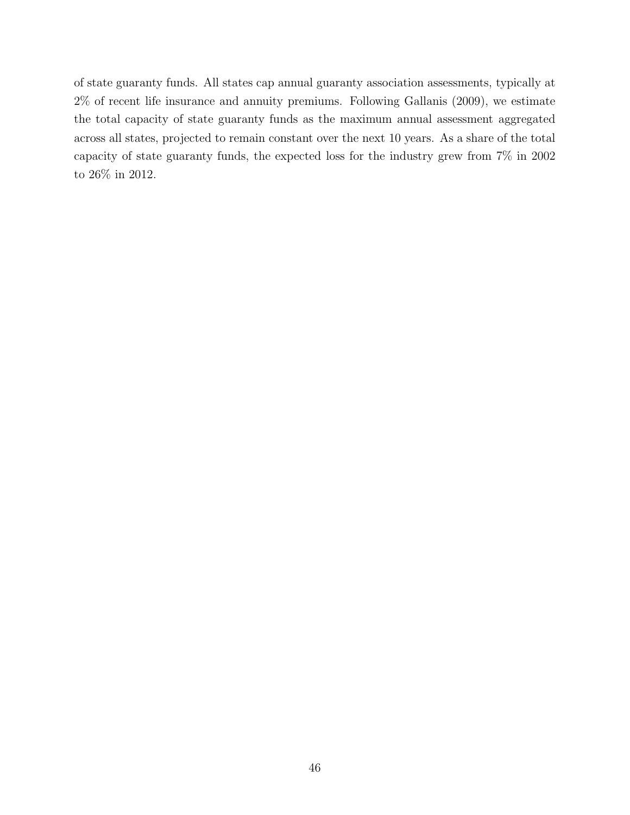of state guaranty funds. All states cap annual guaranty association assessments, typically at 2% of recent life insurance and annuity premiums. Following Gallanis (2009), we estimate the total capacity of state guaranty funds as the maximum annual assessment aggregated across all states, projected to remain constant over the next 10 years. As a share of the total capacity of state guaranty funds, the expected loss for the industry grew from 7% in 2002 to 26% in 2012.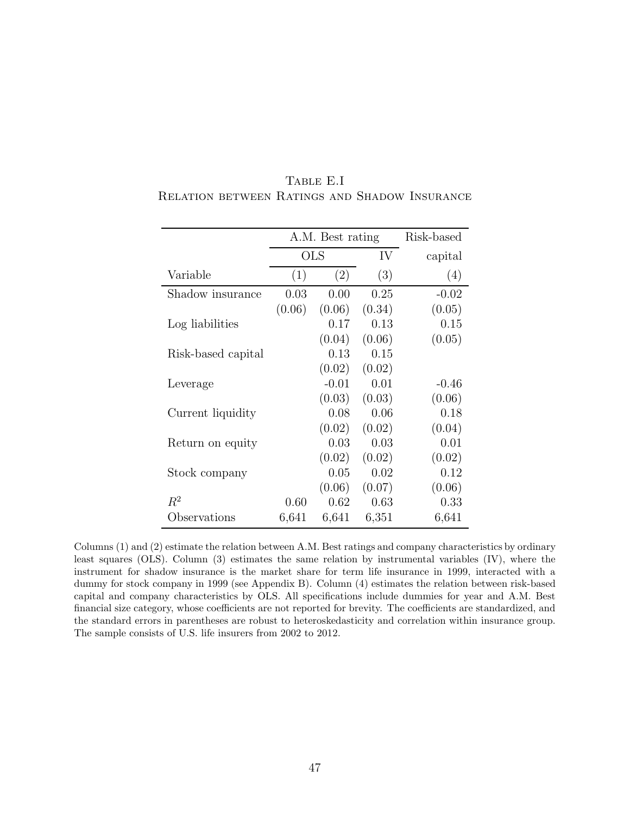|                    | A.M. Best rating |         | Risk-based |         |
|--------------------|------------------|---------|------------|---------|
|                    | $_{\rm OLS}$     |         | IV         | capital |
| Variable           | (1)              | (2)     | (3)        | (4)     |
| Shadow insurance   | 0.03             | 0.00    | 0.25       | $-0.02$ |
|                    | (0.06)           | (0.06)  | (0.34)     | (0.05)  |
| Log liabilities    |                  | 0.17    | 0.13       | 0.15    |
|                    |                  | (0.04)  | (0.06)     | (0.05)  |
| Risk-based capital |                  | 0.13    | 0.15       |         |
|                    |                  | (0.02)  | (0.02)     |         |
| Leverage           |                  | $-0.01$ | 0.01       | $-0.46$ |
|                    |                  | (0.03)  | (0.03)     | (0.06)  |
| Current liquidity  |                  | 0.08    | 0.06       | 0.18    |
|                    |                  | (0.02)  | (0.02)     | (0.04)  |
| Return on equity   |                  | 0.03    | 0.03       | 0.01    |
|                    |                  | (0.02)  | (0.02)     | (0.02)  |
| Stock company      |                  | 0.05    | 0.02       | 0.12    |
|                    |                  | (0.06)  | (0.07)     | (0.06)  |
| $R^2$              | 0.60             | 0.62    | 0.63       | 0.33    |
| Observations       | 6,641            | 6,641   | 6,351      | 6,641   |

Table E.I Relation between Ratings and Shadow Insurance

Columns (1) and (2) estimate the relation between A.M. Best ratings and company characteristics by ordinary least squares (OLS). Column (3) estimates the same relation by instrumental variables (IV), where the instrument for shadow insurance is the market share for term life insurance in 1999, interacted with a dummy for stock company in 1999 (see Appendix B). Column (4) estimates the relation between risk-based capital and company characteristics by OLS. All specifications include dummies for year and A.M. Best financial size category, whose coefficients are not reported for brevity. The coefficients are standardized, and the standard errors in parentheses are robust to heteroskedasticity and correlation within insurance group. The sample consists of U.S. life insurers from 2002 to 2012.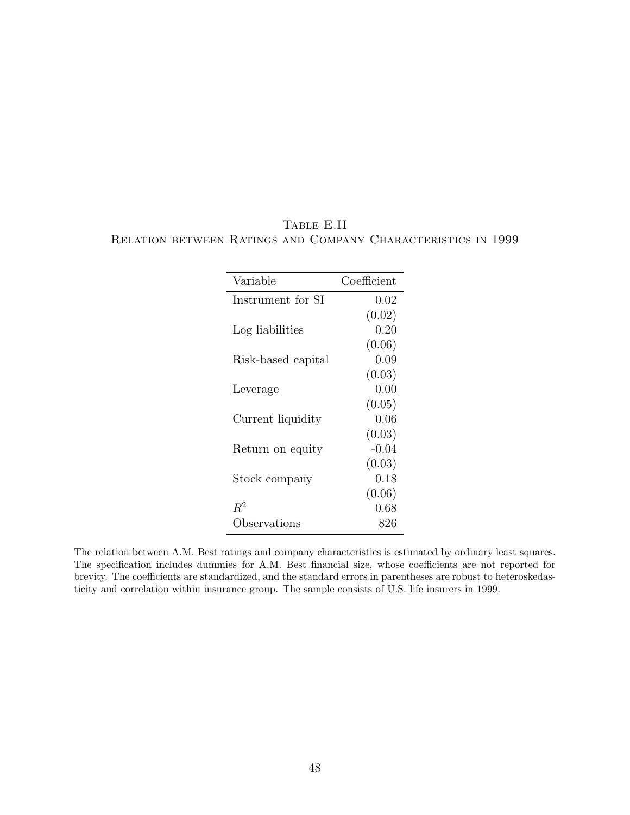| Variable           | Coefficient |
|--------------------|-------------|
| Instrument for SI  | 0.02        |
|                    | (0.02)      |
| Log liabilities    | 0.20        |
|                    | (0.06)      |
| Risk-based capital | 0.09        |
|                    | (0.03)      |
| Leverage           | 0.00        |
|                    | (0.05)      |
| Current liquidity  | 0.06        |
|                    | (0.03)      |
| Return on equity   | $-0.04$     |
|                    | (0.03)      |
| Stock company      | 0.18        |
|                    | (0.06)      |
| $R^2$              | 0.68        |
| Observations       | 826         |

# Table E.II Relation between Ratings and Company Characteristics in 1999

The relation between A.M. Best ratings and company characteristics is estimated by ordinary least squares. The specification includes dummies for A.M. Best financial size, whose coefficients are not reported for brevity. The coefficients are standardized, and the standard errors in parentheses are robust to heteroskedasticity and correlation within insurance group. The sample consists of U.S. life insurers in 1999.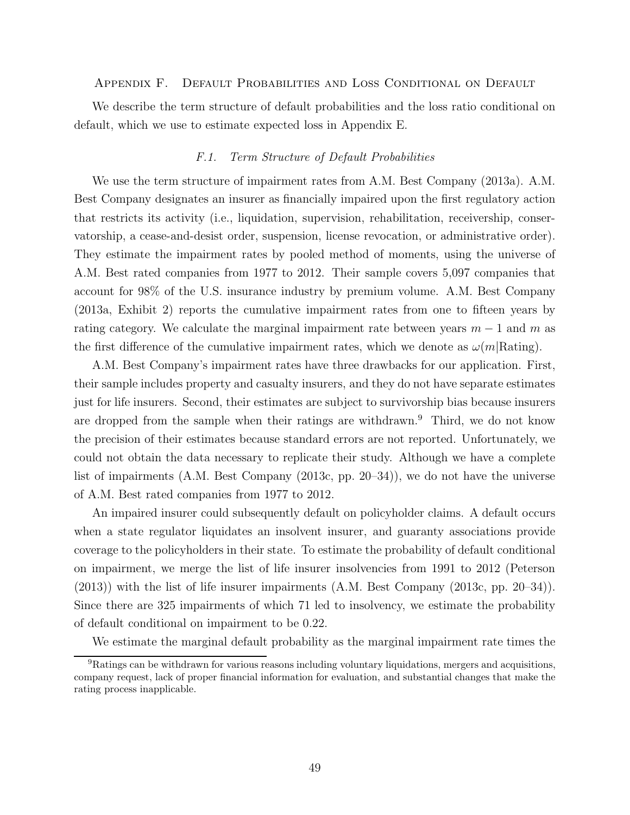#### Appendix F. Default Probabilities and Loss Conditional on Default

We describe the term structure of default probabilities and the loss ratio conditional on default, which we use to estimate expected loss in Appendix E.

#### F.1. Term Structure of Default Probabilities

We use the term structure of impairment rates from A.M. Best Company (2013a). A.M. Best Company designates an insurer as financially impaired upon the first regulatory action that restricts its activity (i.e., liquidation, supervision, rehabilitation, receivership, conservatorship, a cease-and-desist order, suspension, license revocation, or administrative order). They estimate the impairment rates by pooled method of moments, using the universe of A.M. Best rated companies from 1977 to 2012. Their sample covers 5,097 companies that account for 98% of the U.S. insurance industry by premium volume. A.M. Best Company (2013a, Exhibit 2) reports the cumulative impairment rates from one to fifteen years by rating category. We calculate the marginal impairment rate between years  $m-1$  and m as the first difference of the cumulative impairment rates, which we denote as  $\omega(m)$ Rating).

A.M. Best Company's impairment rates have three drawbacks for our application. First, their sample includes property and casualty insurers, and they do not have separate estimates just for life insurers. Second, their estimates are subject to survivorship bias because insurers are dropped from the sample when their ratings are withdrawn.<sup>9</sup> Third, we do not know the precision of their estimates because standard errors are not reported. Unfortunately, we could not obtain the data necessary to replicate their study. Although we have a complete list of impairments (A.M. Best Company (2013c, pp. 20–34)), we do not have the universe of A.M. Best rated companies from 1977 to 2012.

An impaired insurer could subsequently default on policyholder claims. A default occurs when a state regulator liquidates an insolvent insurer, and guaranty associations provide coverage to the policyholders in their state. To estimate the probability of default conditional on impairment, we merge the list of life insurer insolvencies from 1991 to 2012 (Peterson (2013)) with the list of life insurer impairments (A.M. Best Company (2013c, pp. 20–34)). Since there are 325 impairments of which 71 led to insolvency, we estimate the probability of default conditional on impairment to be 0.22.

We estimate the marginal default probability as the marginal impairment rate times the

<sup>9</sup>Ratings can be withdrawn for various reasons including voluntary liquidations, mergers and acquisitions, company request, lack of proper financial information for evaluation, and substantial changes that make the rating process inapplicable.